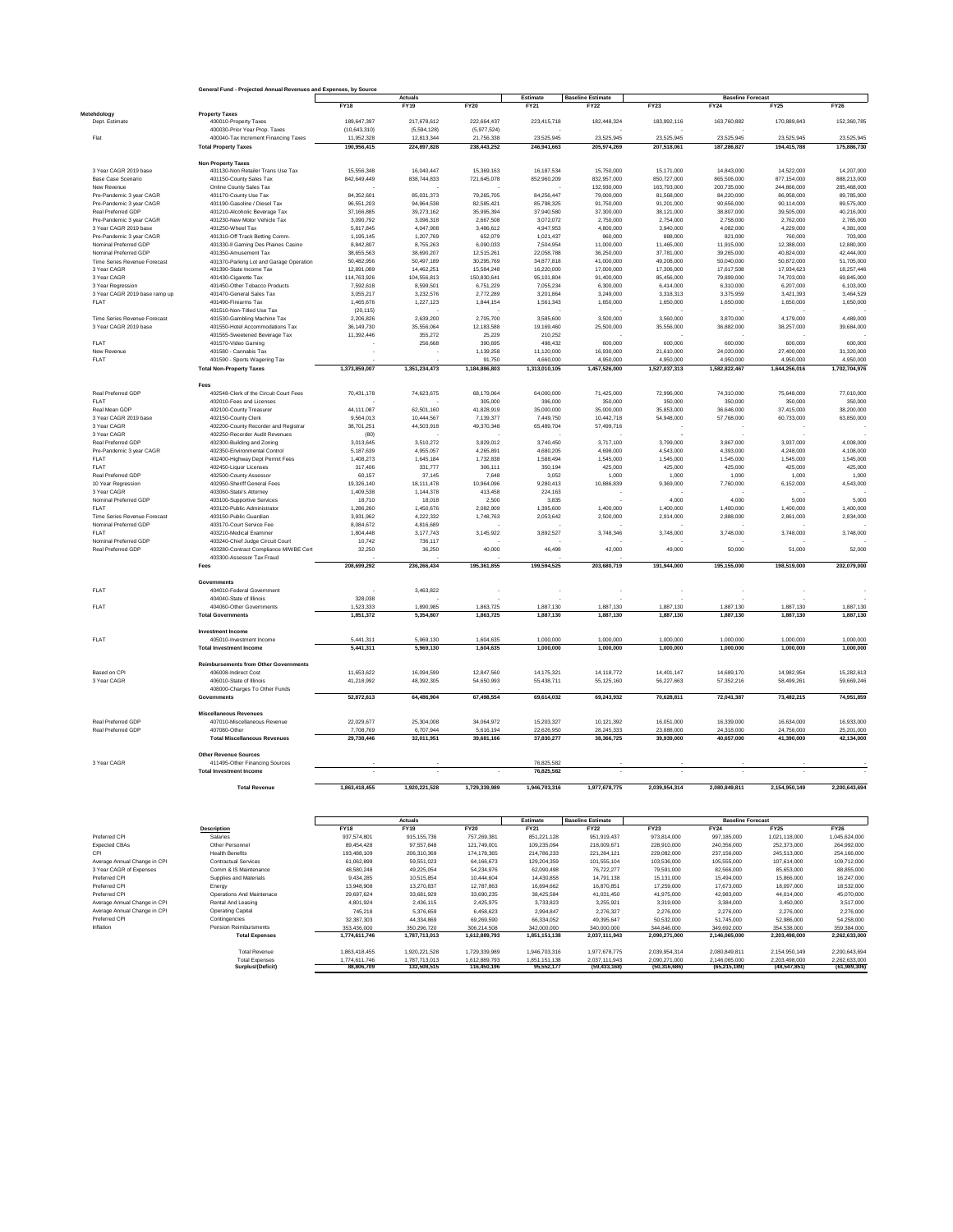| <b>Baseline Estimate</b><br>Estimate<br>Actuals<br><b>Baseline Forecast</b><br><b>FY18</b><br><b>FY20</b><br>FY23<br><b>FY24</b><br><b>FY19</b><br><b>FY21</b><br><b>FY22</b><br><b>FY25</b><br>Metehdology<br><b>Property Taxes</b><br>Dept. Estimate<br>400010-Property Taxes<br>189,647,397<br>217,678,612<br>222.664.437<br>223,415,718<br>182,448,324<br>183,992,116<br>163,760,882<br>170.889.843<br>(5.977.524)<br>400030-Prior Year Prop. Taxes<br>(10.643.310)<br>(5.594.128)<br>12,813,344<br>21,756,338<br>23,525,945<br>23,525,945<br>23,525,945<br>23,525,945<br>23,525,945<br>Flat<br>400040-Tax Increment Financing Taxes<br>11,952,328<br>190.956.415<br>224.897.828<br>238.443.252<br>246.941.663<br>205.974.269<br>207,518,061<br>187.286.827<br>194,415,788<br><b>Total Property Taxes</b><br><b>Non Property Taxes</b><br>401130-Non Retailer Trans Use Tax<br>15,556,348<br>3 Year CAGR 2019 base<br>16,040,447<br>15,369,163<br>16, 187, 534<br>15,750,000<br>15,171,000<br>14,843,000<br>14,522,000<br>401150-County Sales Tax<br>842,649,449<br>838,744,833<br>721,645,078<br>852,960,209<br>832 957 000<br>850.727.000<br>865,506,000<br>877.154.000<br>Base Case Scenario<br>Online County Sales Tax<br>132,930,000<br>163,793,000<br>200,735,000<br>244,866,000<br>New Revenue<br>Pre-Pandemic 3 year CAGR<br>401170-County Use Tax<br>84.352.601<br>85.031.373<br>79.265.705<br>84.256.447<br>79,000,000<br>81,568,000<br>84.220.000<br>86,958,000<br>96,551,203<br>82,585,421<br>90,656,000<br>Pre-Pandemic 3 year CAGR<br>401190-Gasoline / Diesel Tax<br>94,964,538<br>85,798,325<br>91,750,000<br>91,201,000<br>90,114,000<br>401210-Alcoholic Beverage Tax<br>37.166.885<br>39.273.162<br>35.995.394<br>37,940,580<br>38,807,000<br>39,505,000<br>Real Preferred GDP<br>37,300,000<br>38.121.000<br>Pre-Pandemic 3 year CAGR<br>401230-New Motor Vehicle Tax<br>3,090,792<br>3,096,318<br>2,667,508<br>3,072,072<br>2,750,000<br>2,754,000<br>2,758,000<br>2,762,000<br>3 Year CAGR 2019 base<br>401250-Wheel Tax<br>5,817,845<br>4,047,908<br>3,486,612<br>4,947,953<br>4,800,000<br>3,940,000<br>4,082,000<br>4,229,000<br>1,195,145<br>1,207,769<br>652,079<br>1,021,437<br>821,000<br>760,000<br>Pre-Pandemic 3 year CAGR<br>401310-Off Track Betting Comm.<br>960,000<br>888,000<br>Nominal Preferred GDP<br>401330-II Gaming Des Plaines Casino<br>8,842,807<br>8,755,263<br>6,090,033<br>7,504,954<br>11,000,000<br>11,465,000<br>11,915,000<br>12,388,000<br>38,655,563<br>38,690,207<br>12,515,261<br>22,058,788<br>36,250,000<br>37,781,000<br>39,265,000<br>40,824,000<br>Nominal Preferred GDF<br>401350-Amusement Tax<br>401370-Parking Lot and Garage Operation<br>50,482,956<br>50,497,189<br>30,295,769<br>34,877,818<br>41,000,000<br>49,208,000<br>50,040,000<br>50,872,000<br>Time Series Revenue Forecast<br>12,891,089<br>14,462,251<br>15,584,248<br>16,220,000<br>17,000,000<br>17,306,000<br>17,617,508<br>17,934,623<br>3 Year CAGR<br>401390-State Income Tax<br>3 Year CAGR<br>401430-Cigarette Tax<br>114,763,926<br>104,556,813<br>150,830,641<br>95,101,804<br>91,400,000<br>85,456,000<br>79,899,000<br>74,703,000<br>401450-Other Tobacco Products<br>7,592,618<br>8,599,501<br>6,751,229<br>7,055,234<br>6,310,000<br>6,207,000<br>3 Year Regression<br>6,300,000<br>6,414,000<br>3 Year CAGR 2019 base ramp up<br>401470-General Sales Tax<br>3,055,217<br>3,232,576<br>2,772,289<br>3,201,864<br>3,249,000<br>3,318,313<br>3,375,959<br>3,421,393<br>401490-Firearms Tax<br>1,465,676<br>1,227,123<br>1,844,154<br>1,561,343<br>1,650,000<br>1,650,000<br>1,650,000<br>1,650,000<br><b>FLAT</b><br>401510-Non-Titled Use Tax<br>(20, 115)<br>2,206,826<br>2,639,200<br>2,705,700<br>3,585,600<br>3,500,000<br>3,560,000<br>3,870,000<br>4,179,000<br>Time Series Revenue Forecast<br>401530-Gambling Machine Tax<br>3 Year CAGR 2019 base<br>36,149,730<br>35,556,064<br>12,183,588<br>19,169,460<br>25,500,000<br>35,556,000<br>36,882,000<br>38,257,000<br>401550-Hotel Accommodations Tax<br>11.392.446<br>355.272<br>210.252<br>401565-Sweetened Beverage Tax<br>25.229<br>600,000<br>600,000<br>FLAT<br>401570-Video Gaming<br>256,668<br>390,695<br>498,432<br>600,000<br>600,000<br>New Revenue<br>1.139.258<br>11.120.000<br>16,930,000<br>21.610.000<br>24.020.000<br>27,400,000<br>401580 - Cannabis Tax<br>FLAT<br>401590 - Sports Wagering Tax<br>91,750<br>4,660,000<br>4,950,000<br>4,950,000<br>4,950,000<br>4,950,000<br>1.373.859.007<br>1.351.234.473<br>1.184.886.803<br>1,313,010,105<br>1,457,526,000<br>1,527,037,313<br>1,582,822,467<br>1,644,256,016<br><b>Total Non-Property Taxes</b><br>Fees<br>402548-Clerk of the Circuit Court Fees<br>64,000,000<br>75,648,000<br>Real Preferred GDF<br>70.431.178<br>74,623,675<br>68,179,064<br>71,425,000<br>72,996,000<br>74,310,000<br><b>FLAT</b><br>402010-Fees and Licenses<br>305,000<br>396,000<br>350,000<br>350,000<br>350,000<br>350,000<br>62,501,160<br>41,828,919<br>35,000,000<br>35,853,000<br>36,646,000<br>37,415,000<br>Real Mean GDP<br>402100-County Treasurer<br>44,111,087<br>35,000,000<br>3 Year CAGR 2019 hase<br>9,564,013<br>7.139.377<br>10,442,718<br>54,948,000<br>57,768,000<br>60,733,000<br>402150-County Clerk<br>10.444.567<br>7,449,750<br>3 Year CAGR<br>402200-County Recorder and Registrar<br>38,701,251<br>44,503,918<br>49,370,348<br>65,489,704<br>57,499,716<br>3 Year CAGR<br>402250-Recorder Audit Revenues<br>(80)<br>Real Preferred GDP<br>3,013,645<br>3,510,272<br>3,829,012<br>3,740,450<br>3,717,100<br>3,799,000<br>3,867,000<br>3,937,000<br>402300-Building and Zoning<br>Pre-Pandemic 3 year CAGR<br>402350-Environmental Control<br>5,187,639<br>4,955,057<br>4,265,891<br>4,680,205<br>4,698,000<br>4,543,000<br>4,393,000<br>4,248,000<br>1,408,273<br>1,645,184<br>1,732,838<br>1,588,494<br>1,545,000<br>1,545,000<br>1,545,000<br>FLAT<br>402400-Highway Dept Permit Fees<br>1,545,000<br><b>FLAT</b><br>402450-Liquor Licenses<br>317,406<br>331,777<br>306,111<br>350,194<br>425,000<br>425,000<br>425,000<br>425,000<br>Real Preferred GDP<br>60,157<br>37,145<br>7,648<br>3,052<br>402500-County Assessor<br>1,000<br>1,000<br>1,000<br>1,000<br>10 Year Regression<br>402950-Sheriff General Fees<br>19,326,140<br>18, 111, 478<br>10,964,096<br>9,280,413<br>10,886,839<br>9,369,000<br>7,760,000<br>6,152,000<br>3 Year CAGR<br>403060-State's Attorney<br>1,144,378<br>413,458<br>224,163<br>1,409,538<br>Nominal Preferred GDP<br>403100-Supportive Services<br>18,710<br>18,018<br>2,500<br>3,835<br>4,000<br>4,000<br>5,000<br>FLAT<br>1,286,260<br>1,450,676<br>2,082,909<br>1,395,600<br>1,400,000<br>1,400,000<br>403120-Public Administrator<br>1,400,000<br>1,400,000<br>Time Series Revenue Forecast<br>403150-Public Guardian<br>3,931,962<br>4,222,332<br>1,748,763<br>2,053,642<br>2,500,000<br>2,914,000<br>2,888,000<br>2,861,000<br>Nominal Preferred GDP<br>403170-Court Service Fee<br>8.084.672<br>4.816.689<br>3,145,922<br>3,892,527<br>3,748,346<br>3,748,000<br>FLAT<br>403210-Medical Examiner<br>1,804,448<br>3,177,743<br>3,748,000<br>3,748,000<br>Nominal Preferred GDP<br>403240-Chief Judge Circuit Court<br>10.742<br>736.117<br>40,000<br>Real Preferred GDF<br>403280-Contract Compliance M/WBE Cert<br>32,250<br>36,250<br>46,498<br>42,000<br>49,000<br>50,000<br>51,000<br>403300-Assessor Tax Fraud<br>208,699,292<br>236,266,434<br>195,361,855<br>199,594,525<br>203,680,719<br>191,944,000<br>195,155,000<br>198,519,000<br>Fees<br>Governments<br><b>FLAT</b><br>404010-Federal Government<br>3,463,822<br>404040-State of Illinois<br>328,038<br>1.523.333<br>1.887.130<br>1.887.130<br><b>FLAT</b><br>1.890.985<br>1.863.725<br>1.887.130<br>1.887.130<br>1.887.130<br>404060-Other Governments<br>1.851.372<br>5,354,807<br>1,863,725<br>1,887,130<br>1,887,130<br>1,887,130<br>1,887,130<br>1,887,130<br><b>Total Governments</b><br>Investment Income<br><b>FLAT</b><br>405010-Investment Income<br>5,441,311<br>5.969.130<br>1,604,635<br>1,000,000<br>1,000,000<br>1,000,000<br>1,000,000<br>1,000,000<br>5,441,311<br>5,969,130<br>1,604,635<br>1,000,000<br>1,000,000<br>1,000,000<br>1,000,000<br>1,000,000<br><b>Total Investment Income</b><br><b>Reimbursements from Other Governments</b><br>Based on CPI<br>406008-Indirect Cost<br>11.653.622<br>16.094.599<br>12.847.560<br>14,175,321<br>14, 118, 772<br>14.401.147<br>14,689,170<br>14.982.954<br>3 Year CAGR<br>406010-State of Illinois<br>41,218,992<br>48,392,305<br>54,650,993<br>55,438,711<br>55,125,160<br>56,227,663<br>57,352,216<br>58,499,261<br>408000-Charges To Other Funds<br>52,872,613<br>64,486,904<br>67,498,554<br>69,243,932<br>70,628,811<br>73,482,215<br>69.614.032<br>72.041.387<br>Governments<br><b>Miscellaneous Revenues</b><br>22,029,677<br>25,304,008<br>34,064,972<br>15,203,327<br>Real Preferred GDP<br>407010-Miscellaneous Revenue<br>10,121,392<br>16,051,000<br>16,339,000<br>16,634,000<br>6,707,944<br>5.616.194<br>22.626.950<br>28.245.333<br>23.888.000<br>24,756,000<br>407080-Other<br>7.708.769<br>24.318.000<br>Real Preferred GDP<br>29,738,446<br>32,011,951<br>39,681,166<br>37,830,277<br>38,366,725<br>39,939,000<br>40,657,000<br>41,390,000<br><b>Total Miscellaneous Revenues</b><br><b>Other Revenue Sources</b><br>76.825.582<br>3 Year CAGR<br>411495-Other Financing Sources<br>76,825,582<br><b>Total Investment Income</b><br>1,920,221,528<br>1,729,339,989<br>2,039,954,314<br>2,080,849,811<br><b>Total Revenue</b><br>1.863.418.455<br>1,946,703,316<br>1,977,678,775<br>2,154,950,149<br>Estimate<br><b>Baseline Estimate</b><br>Actuals<br><b>Baseline Forecast</b><br><b>FY20</b><br><b>FY23</b><br><b>FY18</b><br><b>FY19</b><br><b>FY21</b><br><b>FY22</b><br><b>FY24</b><br><b>FY25</b><br><b>Description</b><br>Preferred CPI<br>Salaries<br>937 574 801<br>915.155.736<br>757,269,381<br>851.221.128<br>951 919 437<br>973.814.000<br>997.185.000<br>1.021.118.000<br><b>Expected CBAs</b><br>Other Personnel<br>89,454,428<br>97,557,848<br>121,749,001<br>109,235,094<br>218,009,671<br>228,910,000<br>240,356,000<br>252,373,000<br>CPI<br><b>Health Benefits</b><br>193.488.109<br>237.156.000<br>245.513.000<br>206.310.369<br>174, 178, 365<br>214,786,233<br>221.284.121<br>229.082.000<br>Average Annual Change in CPI<br><b>Contractual Services</b><br>61,062,899<br>59,551,023<br>64,166,673<br>129,204,359<br>101,555,104<br>103,536,000<br>105,555,000<br>107,614,000<br>3 Year CAGR of Expenses<br>Comm & IS Maintenance<br>49.225.054<br>85,653,000<br>48.580.248<br>54.234.976<br>62.090.498<br>76,722,277<br>79,591,000<br>82,566,000<br>Preferred CPI<br>Supplies and Materials<br>9,434,285<br>10,515,854<br>10,444,604<br>14,430,858<br>15,131,000<br>15,494,000<br>15,866,000<br>14,791,138<br>Preferred CPI<br>Energy<br>13,948,908<br>13.270.837<br>12.787.863<br>16,694,662<br>17,673,000<br>16,870,851<br>17,259,000<br>18,097,000<br>Preferred CPI<br>Operations And Maintenace<br>29,697,624<br>33,681,929<br>33,690,235<br>38,425,584<br>41,031,450<br>41,975,000<br>42,983,000<br>44,014,000<br>Average Annual Change in CPI<br>Rental And Leasing<br>4,801,924<br>2,436,115<br>2,425,975<br>3,733,823<br>3,255,921<br>3,319,000<br>3,384,000<br>3,450,000<br>Average Annual Change in CPI<br><b>Operating Capital</b><br>745,218<br>5,376,659<br>6,458,623<br>2,994,847<br>2,276,327<br>2,276,000<br>2,276,000<br>2,276,000<br>Preferred CPI<br>Contingencies<br>32,387,303<br>44,334,869<br>69,269,590<br>66,334,052<br>49,395,647<br>50,532,000<br>51,745,000<br>52,986,000<br>Inflation<br>Pension Reimbursments<br>353,436,000<br>350,296,720<br>306,214,508<br>342,000,000<br>340,000,000<br>344,846,000<br>349,692,000<br>354,538,000<br><b>Total Expenses</b><br>1,774,611,746<br>1.787.713.013<br>1.612.889.793<br>2.037.111.943<br>2.090.271.000<br>2.146.065.000<br>2.203.498.000<br>1.851.151.138 | General Fund - Projected Annual Revenues and Expenses, by Source |  |  |  |  |  |                          |  |
|-----------------------------------------------------------------------------------------------------------------------------------------------------------------------------------------------------------------------------------------------------------------------------------------------------------------------------------------------------------------------------------------------------------------------------------------------------------------------------------------------------------------------------------------------------------------------------------------------------------------------------------------------------------------------------------------------------------------------------------------------------------------------------------------------------------------------------------------------------------------------------------------------------------------------------------------------------------------------------------------------------------------------------------------------------------------------------------------------------------------------------------------------------------------------------------------------------------------------------------------------------------------------------------------------------------------------------------------------------------------------------------------------------------------------------------------------------------------------------------------------------------------------------------------------------------------------------------------------------------------------------------------------------------------------------------------------------------------------------------------------------------------------------------------------------------------------------------------------------------------------------------------------------------------------------------------------------------------------------------------------------------------------------------------------------------------------------------------------------------------------------------------------------------------------------------------------------------------------------------------------------------------------------------------------------------------------------------------------------------------------------------------------------------------------------------------------------------------------------------------------------------------------------------------------------------------------------------------------------------------------------------------------------------------------------------------------------------------------------------------------------------------------------------------------------------------------------------------------------------------------------------------------------------------------------------------------------------------------------------------------------------------------------------------------------------------------------------------------------------------------------------------------------------------------------------------------------------------------------------------------------------------------------------------------------------------------------------------------------------------------------------------------------------------------------------------------------------------------------------------------------------------------------------------------------------------------------------------------------------------------------------------------------------------------------------------------------------------------------------------------------------------------------------------------------------------------------------------------------------------------------------------------------------------------------------------------------------------------------------------------------------------------------------------------------------------------------------------------------------------------------------------------------------------------------------------------------------------------------------------------------------------------------------------------------------------------------------------------------------------------------------------------------------------------------------------------------------------------------------------------------------------------------------------------------------------------------------------------------------------------------------------------------------------------------------------------------------------------------------------------------------------------------------------------------------------------------------------------------------------------------------------------------------------------------------------------------------------------------------------------------------------------------------------------------------------------------------------------------------------------------------------------------------------------------------------------------------------------------------------------------------------------------------------------------------------------------------------------------------------------------------------------------------------------------------------------------------------------------------------------------------------------------------------------------------------------------------------------------------------------------------------------------------------------------------------------------------------------------------------------------------------------------------------------------------------------------------------------------------------------------------------------------------------------------------------------------------------------------------------------------------------------------------------------------------------------------------------------------------------------------------------------------------------------------------------------------------------------------------------------------------------------------------------------------------------------------------------------------------------------------------------------------------------------------------------------------------------------------------------------------------------------------------------------------------------------------------------------------------------------------------------------------------------------------------------------------------------------------------------------------------------------------------------------------------------------------------------------------------------------------------------------------------------------------------------------------------------------------------------------------------------------------------------------------------------------------------------------------------------------------------------------------------------------------------------------------------------------------------------------------------------------------------------------------------------------------------------------------------------------------------------------------------------------------------------------------------------------------------------------------------------------------------------------------------------------------------------------------------------------------------------------------------------------------------------------------------------------------------------------------------------------------------------------------------------------------------------------------------------------------------------------------------------------------------------------------------------------------------------------------------------------------------------------------------------------------------------------------------------------------------------------------------------------------------------------------------------------------------------------------------------------------------------------------------------------------------------------------------------------------------------------------------------------------------------------------------------------------------------------------------------------------------------------------------------------------------------------------------------------------------------------------------------------------------------------------------------------------------------------------------------------------------------------------------------------------------------------------------------------------------------------------------------------------------------------------------------------------------------------------------------------------------------------------------------------------------------------------------------------------------------------------------------------------------------------------------------------------------------------------------------------------------------------------------------------------------------------------------------------------------------------------------------------------------------------------------------------------------------------------------------------------------------------------------------------------------------------------------------------------------------------------------------------------------------------------------------------------------------------------------------------------------------------------------------------------------------------------------------------------------------------------------------------------------------------------------------------------------------------------------------------------------------------------------------------------------------------------------------------------------------------------------------------------------------------------------------------------------------------------------------------------------------------------------------------------------------------------------------------------------------------------------------------------------------------------------------------------------------------------------------------------------------------------------------------------------------------------------------------------------------------------------------------------------------------------------------------------------------------------------------------------------------------------------------------------------------------------------------------------------------------------------------------------------------------------------------------------------------------------------------------------------------------------------------------------------------------------------------------------------------------------------------------------------------------------------------------------------------------------------------------------------------------------------------------------------------------------------------------------------------------------------------------------------------------------------------------------------------------------------------------------------------------------------------------------------------------------------------------------------------------------------------------------------------------------------------------------------------------------------------------------------------------------------------------------------------------------------------------------------------------------------------------------------------------------------------------------------------------------------------------------------------------|------------------------------------------------------------------|--|--|--|--|--|--------------------------|--|
|                                                                                                                                                                                                                                                                                                                                                                                                                                                                                                                                                                                                                                                                                                                                                                                                                                                                                                                                                                                                                                                                                                                                                                                                                                                                                                                                                                                                                                                                                                                                                                                                                                                                                                                                                                                                                                                                                                                                                                                                                                                                                                                                                                                                                                                                                                                                                                                                                                                                                                                                                                                                                                                                                                                                                                                                                                                                                                                                                                                                                                                                                                                                                                                                                                                                                                                                                                                                                                                                                                                                                                                                                                                                                                                                                                                                                                                                                                                                                                                                                                                                                                                                                                                                                                                                                                                                                                                                                                                                                                                                                                                                                                                                                                                                                                                                                                                                                                                                                                                                                                                                                                                                                                                                                                                                                                                                                                                                                                                                                                                                                                                                                                                                                                                                                                                                                                                                                                                                                                                                                                                                                                                                                                                                                                                                                                                                                                                                                                                                                                                                                                                                                                                                                                                                                                                                                                                                                                                                                                                                                                                                                                                                                                                                                                                                                                                                                                                                                                                                                                                                                                                                                                                                                                                                                                                                                                                                                                                                                                                                                                                                                                                                                                                                                                                                                                                                                                                                                                                                                                                                                                                                                                                                                                                                                                                                                                                                                                                                                                                                                                                                                                                                                                                                                                                                                                                                                                                                                                                                                                                                                                                                                                                                                                                                                                                                                                                                                                                                                                                                                                                                                                                                                                                                                                                                                                                                                                                                                                                                                                                                                                                                                                                                                                                                                                                                                                                                                                                                                                                                                                                                                                                                                                                                                                                                                                                                                                                                                                                                                                                                                                                                                                                                                                                                                                                                                                                                                                                                                                                                                                               |                                                                  |  |  |  |  |  | <b>FY26</b>              |  |
|                                                                                                                                                                                                                                                                                                                                                                                                                                                                                                                                                                                                                                                                                                                                                                                                                                                                                                                                                                                                                                                                                                                                                                                                                                                                                                                                                                                                                                                                                                                                                                                                                                                                                                                                                                                                                                                                                                                                                                                                                                                                                                                                                                                                                                                                                                                                                                                                                                                                                                                                                                                                                                                                                                                                                                                                                                                                                                                                                                                                                                                                                                                                                                                                                                                                                                                                                                                                                                                                                                                                                                                                                                                                                                                                                                                                                                                                                                                                                                                                                                                                                                                                                                                                                                                                                                                                                                                                                                                                                                                                                                                                                                                                                                                                                                                                                                                                                                                                                                                                                                                                                                                                                                                                                                                                                                                                                                                                                                                                                                                                                                                                                                                                                                                                                                                                                                                                                                                                                                                                                                                                                                                                                                                                                                                                                                                                                                                                                                                                                                                                                                                                                                                                                                                                                                                                                                                                                                                                                                                                                                                                                                                                                                                                                                                                                                                                                                                                                                                                                                                                                                                                                                                                                                                                                                                                                                                                                                                                                                                                                                                                                                                                                                                                                                                                                                                                                                                                                                                                                                                                                                                                                                                                                                                                                                                                                                                                                                                                                                                                                                                                                                                                                                                                                                                                                                                                                                                                                                                                                                                                                                                                                                                                                                                                                                                                                                                                                                                                                                                                                                                                                                                                                                                                                                                                                                                                                                                                                                                                                                                                                                                                                                                                                                                                                                                                                                                                                                                                                                                                                                                                                                                                                                                                                                                                                                                                                                                                                                                                                                                                                                                                                                                                                                                                                                                                                                                                                                                                                                                                                                               |                                                                  |  |  |  |  |  |                          |  |
|                                                                                                                                                                                                                                                                                                                                                                                                                                                                                                                                                                                                                                                                                                                                                                                                                                                                                                                                                                                                                                                                                                                                                                                                                                                                                                                                                                                                                                                                                                                                                                                                                                                                                                                                                                                                                                                                                                                                                                                                                                                                                                                                                                                                                                                                                                                                                                                                                                                                                                                                                                                                                                                                                                                                                                                                                                                                                                                                                                                                                                                                                                                                                                                                                                                                                                                                                                                                                                                                                                                                                                                                                                                                                                                                                                                                                                                                                                                                                                                                                                                                                                                                                                                                                                                                                                                                                                                                                                                                                                                                                                                                                                                                                                                                                                                                                                                                                                                                                                                                                                                                                                                                                                                                                                                                                                                                                                                                                                                                                                                                                                                                                                                                                                                                                                                                                                                                                                                                                                                                                                                                                                                                                                                                                                                                                                                                                                                                                                                                                                                                                                                                                                                                                                                                                                                                                                                                                                                                                                                                                                                                                                                                                                                                                                                                                                                                                                                                                                                                                                                                                                                                                                                                                                                                                                                                                                                                                                                                                                                                                                                                                                                                                                                                                                                                                                                                                                                                                                                                                                                                                                                                                                                                                                                                                                                                                                                                                                                                                                                                                                                                                                                                                                                                                                                                                                                                                                                                                                                                                                                                                                                                                                                                                                                                                                                                                                                                                                                                                                                                                                                                                                                                                                                                                                                                                                                                                                                                                                                                                                                                                                                                                                                                                                                                                                                                                                                                                                                                                                                                                                                                                                                                                                                                                                                                                                                                                                                                                                                                                                                                                                                                                                                                                                                                                                                                                                                                                                                                                                                                                                               |                                                                  |  |  |  |  |  | 152,360,785              |  |
|                                                                                                                                                                                                                                                                                                                                                                                                                                                                                                                                                                                                                                                                                                                                                                                                                                                                                                                                                                                                                                                                                                                                                                                                                                                                                                                                                                                                                                                                                                                                                                                                                                                                                                                                                                                                                                                                                                                                                                                                                                                                                                                                                                                                                                                                                                                                                                                                                                                                                                                                                                                                                                                                                                                                                                                                                                                                                                                                                                                                                                                                                                                                                                                                                                                                                                                                                                                                                                                                                                                                                                                                                                                                                                                                                                                                                                                                                                                                                                                                                                                                                                                                                                                                                                                                                                                                                                                                                                                                                                                                                                                                                                                                                                                                                                                                                                                                                                                                                                                                                                                                                                                                                                                                                                                                                                                                                                                                                                                                                                                                                                                                                                                                                                                                                                                                                                                                                                                                                                                                                                                                                                                                                                                                                                                                                                                                                                                                                                                                                                                                                                                                                                                                                                                                                                                                                                                                                                                                                                                                                                                                                                                                                                                                                                                                                                                                                                                                                                                                                                                                                                                                                                                                                                                                                                                                                                                                                                                                                                                                                                                                                                                                                                                                                                                                                                                                                                                                                                                                                                                                                                                                                                                                                                                                                                                                                                                                                                                                                                                                                                                                                                                                                                                                                                                                                                                                                                                                                                                                                                                                                                                                                                                                                                                                                                                                                                                                                                                                                                                                                                                                                                                                                                                                                                                                                                                                                                                                                                                                                                                                                                                                                                                                                                                                                                                                                                                                                                                                                                                                                                                                                                                                                                                                                                                                                                                                                                                                                                                                                                                                                                                                                                                                                                                                                                                                                                                                                                                                                                                                                                               |                                                                  |  |  |  |  |  |                          |  |
|                                                                                                                                                                                                                                                                                                                                                                                                                                                                                                                                                                                                                                                                                                                                                                                                                                                                                                                                                                                                                                                                                                                                                                                                                                                                                                                                                                                                                                                                                                                                                                                                                                                                                                                                                                                                                                                                                                                                                                                                                                                                                                                                                                                                                                                                                                                                                                                                                                                                                                                                                                                                                                                                                                                                                                                                                                                                                                                                                                                                                                                                                                                                                                                                                                                                                                                                                                                                                                                                                                                                                                                                                                                                                                                                                                                                                                                                                                                                                                                                                                                                                                                                                                                                                                                                                                                                                                                                                                                                                                                                                                                                                                                                                                                                                                                                                                                                                                                                                                                                                                                                                                                                                                                                                                                                                                                                                                                                                                                                                                                                                                                                                                                                                                                                                                                                                                                                                                                                                                                                                                                                                                                                                                                                                                                                                                                                                                                                                                                                                                                                                                                                                                                                                                                                                                                                                                                                                                                                                                                                                                                                                                                                                                                                                                                                                                                                                                                                                                                                                                                                                                                                                                                                                                                                                                                                                                                                                                                                                                                                                                                                                                                                                                                                                                                                                                                                                                                                                                                                                                                                                                                                                                                                                                                                                                                                                                                                                                                                                                                                                                                                                                                                                                                                                                                                                                                                                                                                                                                                                                                                                                                                                                                                                                                                                                                                                                                                                                                                                                                                                                                                                                                                                                                                                                                                                                                                                                                                                                                                                                                                                                                                                                                                                                                                                                                                                                                                                                                                                                                                                                                                                                                                                                                                                                                                                                                                                                                                                                                                                                                                                                                                                                                                                                                                                                                                                                                                                                                                                                                                                                               |                                                                  |  |  |  |  |  | 23,525,945               |  |
|                                                                                                                                                                                                                                                                                                                                                                                                                                                                                                                                                                                                                                                                                                                                                                                                                                                                                                                                                                                                                                                                                                                                                                                                                                                                                                                                                                                                                                                                                                                                                                                                                                                                                                                                                                                                                                                                                                                                                                                                                                                                                                                                                                                                                                                                                                                                                                                                                                                                                                                                                                                                                                                                                                                                                                                                                                                                                                                                                                                                                                                                                                                                                                                                                                                                                                                                                                                                                                                                                                                                                                                                                                                                                                                                                                                                                                                                                                                                                                                                                                                                                                                                                                                                                                                                                                                                                                                                                                                                                                                                                                                                                                                                                                                                                                                                                                                                                                                                                                                                                                                                                                                                                                                                                                                                                                                                                                                                                                                                                                                                                                                                                                                                                                                                                                                                                                                                                                                                                                                                                                                                                                                                                                                                                                                                                                                                                                                                                                                                                                                                                                                                                                                                                                                                                                                                                                                                                                                                                                                                                                                                                                                                                                                                                                                                                                                                                                                                                                                                                                                                                                                                                                                                                                                                                                                                                                                                                                                                                                                                                                                                                                                                                                                                                                                                                                                                                                                                                                                                                                                                                                                                                                                                                                                                                                                                                                                                                                                                                                                                                                                                                                                                                                                                                                                                                                                                                                                                                                                                                                                                                                                                                                                                                                                                                                                                                                                                                                                                                                                                                                                                                                                                                                                                                                                                                                                                                                                                                                                                                                                                                                                                                                                                                                                                                                                                                                                                                                                                                                                                                                                                                                                                                                                                                                                                                                                                                                                                                                                                                                                                                                                                                                                                                                                                                                                                                                                                                                                                                                                                                                               |                                                                  |  |  |  |  |  | 175,886,730              |  |
|                                                                                                                                                                                                                                                                                                                                                                                                                                                                                                                                                                                                                                                                                                                                                                                                                                                                                                                                                                                                                                                                                                                                                                                                                                                                                                                                                                                                                                                                                                                                                                                                                                                                                                                                                                                                                                                                                                                                                                                                                                                                                                                                                                                                                                                                                                                                                                                                                                                                                                                                                                                                                                                                                                                                                                                                                                                                                                                                                                                                                                                                                                                                                                                                                                                                                                                                                                                                                                                                                                                                                                                                                                                                                                                                                                                                                                                                                                                                                                                                                                                                                                                                                                                                                                                                                                                                                                                                                                                                                                                                                                                                                                                                                                                                                                                                                                                                                                                                                                                                                                                                                                                                                                                                                                                                                                                                                                                                                                                                                                                                                                                                                                                                                                                                                                                                                                                                                                                                                                                                                                                                                                                                                                                                                                                                                                                                                                                                                                                                                                                                                                                                                                                                                                                                                                                                                                                                                                                                                                                                                                                                                                                                                                                                                                                                                                                                                                                                                                                                                                                                                                                                                                                                                                                                                                                                                                                                                                                                                                                                                                                                                                                                                                                                                                                                                                                                                                                                                                                                                                                                                                                                                                                                                                                                                                                                                                                                                                                                                                                                                                                                                                                                                                                                                                                                                                                                                                                                                                                                                                                                                                                                                                                                                                                                                                                                                                                                                                                                                                                                                                                                                                                                                                                                                                                                                                                                                                                                                                                                                                                                                                                                                                                                                                                                                                                                                                                                                                                                                                                                                                                                                                                                                                                                                                                                                                                                                                                                                                                                                                                                                                                                                                                                                                                                                                                                                                                                                                                                                                                                                                               |                                                                  |  |  |  |  |  |                          |  |
|                                                                                                                                                                                                                                                                                                                                                                                                                                                                                                                                                                                                                                                                                                                                                                                                                                                                                                                                                                                                                                                                                                                                                                                                                                                                                                                                                                                                                                                                                                                                                                                                                                                                                                                                                                                                                                                                                                                                                                                                                                                                                                                                                                                                                                                                                                                                                                                                                                                                                                                                                                                                                                                                                                                                                                                                                                                                                                                                                                                                                                                                                                                                                                                                                                                                                                                                                                                                                                                                                                                                                                                                                                                                                                                                                                                                                                                                                                                                                                                                                                                                                                                                                                                                                                                                                                                                                                                                                                                                                                                                                                                                                                                                                                                                                                                                                                                                                                                                                                                                                                                                                                                                                                                                                                                                                                                                                                                                                                                                                                                                                                                                                                                                                                                                                                                                                                                                                                                                                                                                                                                                                                                                                                                                                                                                                                                                                                                                                                                                                                                                                                                                                                                                                                                                                                                                                                                                                                                                                                                                                                                                                                                                                                                                                                                                                                                                                                                                                                                                                                                                                                                                                                                                                                                                                                                                                                                                                                                                                                                                                                                                                                                                                                                                                                                                                                                                                                                                                                                                                                                                                                                                                                                                                                                                                                                                                                                                                                                                                                                                                                                                                                                                                                                                                                                                                                                                                                                                                                                                                                                                                                                                                                                                                                                                                                                                                                                                                                                                                                                                                                                                                                                                                                                                                                                                                                                                                                                                                                                                                                                                                                                                                                                                                                                                                                                                                                                                                                                                                                                                                                                                                                                                                                                                                                                                                                                                                                                                                                                                                                                                                                                                                                                                                                                                                                                                                                                                                                                                                                                                                                               |                                                                  |  |  |  |  |  | 14,207,000               |  |
|                                                                                                                                                                                                                                                                                                                                                                                                                                                                                                                                                                                                                                                                                                                                                                                                                                                                                                                                                                                                                                                                                                                                                                                                                                                                                                                                                                                                                                                                                                                                                                                                                                                                                                                                                                                                                                                                                                                                                                                                                                                                                                                                                                                                                                                                                                                                                                                                                                                                                                                                                                                                                                                                                                                                                                                                                                                                                                                                                                                                                                                                                                                                                                                                                                                                                                                                                                                                                                                                                                                                                                                                                                                                                                                                                                                                                                                                                                                                                                                                                                                                                                                                                                                                                                                                                                                                                                                                                                                                                                                                                                                                                                                                                                                                                                                                                                                                                                                                                                                                                                                                                                                                                                                                                                                                                                                                                                                                                                                                                                                                                                                                                                                                                                                                                                                                                                                                                                                                                                                                                                                                                                                                                                                                                                                                                                                                                                                                                                                                                                                                                                                                                                                                                                                                                                                                                                                                                                                                                                                                                                                                                                                                                                                                                                                                                                                                                                                                                                                                                                                                                                                                                                                                                                                                                                                                                                                                                                                                                                                                                                                                                                                                                                                                                                                                                                                                                                                                                                                                                                                                                                                                                                                                                                                                                                                                                                                                                                                                                                                                                                                                                                                                                                                                                                                                                                                                                                                                                                                                                                                                                                                                                                                                                                                                                                                                                                                                                                                                                                                                                                                                                                                                                                                                                                                                                                                                                                                                                                                                                                                                                                                                                                                                                                                                                                                                                                                                                                                                                                                                                                                                                                                                                                                                                                                                                                                                                                                                                                                                                                                                                                                                                                                                                                                                                                                                                                                                                                                                                                                                                                               |                                                                  |  |  |  |  |  | 888.213.000              |  |
|                                                                                                                                                                                                                                                                                                                                                                                                                                                                                                                                                                                                                                                                                                                                                                                                                                                                                                                                                                                                                                                                                                                                                                                                                                                                                                                                                                                                                                                                                                                                                                                                                                                                                                                                                                                                                                                                                                                                                                                                                                                                                                                                                                                                                                                                                                                                                                                                                                                                                                                                                                                                                                                                                                                                                                                                                                                                                                                                                                                                                                                                                                                                                                                                                                                                                                                                                                                                                                                                                                                                                                                                                                                                                                                                                                                                                                                                                                                                                                                                                                                                                                                                                                                                                                                                                                                                                                                                                                                                                                                                                                                                                                                                                                                                                                                                                                                                                                                                                                                                                                                                                                                                                                                                                                                                                                                                                                                                                                                                                                                                                                                                                                                                                                                                                                                                                                                                                                                                                                                                                                                                                                                                                                                                                                                                                                                                                                                                                                                                                                                                                                                                                                                                                                                                                                                                                                                                                                                                                                                                                                                                                                                                                                                                                                                                                                                                                                                                                                                                                                                                                                                                                                                                                                                                                                                                                                                                                                                                                                                                                                                                                                                                                                                                                                                                                                                                                                                                                                                                                                                                                                                                                                                                                                                                                                                                                                                                                                                                                                                                                                                                                                                                                                                                                                                                                                                                                                                                                                                                                                                                                                                                                                                                                                                                                                                                                                                                                                                                                                                                                                                                                                                                                                                                                                                                                                                                                                                                                                                                                                                                                                                                                                                                                                                                                                                                                                                                                                                                                                                                                                                                                                                                                                                                                                                                                                                                                                                                                                                                                                                                                                                                                                                                                                                                                                                                                                                                                                                                                                                                                                               |                                                                  |  |  |  |  |  | 285,468,000              |  |
|                                                                                                                                                                                                                                                                                                                                                                                                                                                                                                                                                                                                                                                                                                                                                                                                                                                                                                                                                                                                                                                                                                                                                                                                                                                                                                                                                                                                                                                                                                                                                                                                                                                                                                                                                                                                                                                                                                                                                                                                                                                                                                                                                                                                                                                                                                                                                                                                                                                                                                                                                                                                                                                                                                                                                                                                                                                                                                                                                                                                                                                                                                                                                                                                                                                                                                                                                                                                                                                                                                                                                                                                                                                                                                                                                                                                                                                                                                                                                                                                                                                                                                                                                                                                                                                                                                                                                                                                                                                                                                                                                                                                                                                                                                                                                                                                                                                                                                                                                                                                                                                                                                                                                                                                                                                                                                                                                                                                                                                                                                                                                                                                                                                                                                                                                                                                                                                                                                                                                                                                                                                                                                                                                                                                                                                                                                                                                                                                                                                                                                                                                                                                                                                                                                                                                                                                                                                                                                                                                                                                                                                                                                                                                                                                                                                                                                                                                                                                                                                                                                                                                                                                                                                                                                                                                                                                                                                                                                                                                                                                                                                                                                                                                                                                                                                                                                                                                                                                                                                                                                                                                                                                                                                                                                                                                                                                                                                                                                                                                                                                                                                                                                                                                                                                                                                                                                                                                                                                                                                                                                                                                                                                                                                                                                                                                                                                                                                                                                                                                                                                                                                                                                                                                                                                                                                                                                                                                                                                                                                                                                                                                                                                                                                                                                                                                                                                                                                                                                                                                                                                                                                                                                                                                                                                                                                                                                                                                                                                                                                                                                                                                                                                                                                                                                                                                                                                                                                                                                                                                                                                                                               |                                                                  |  |  |  |  |  | 89,785,000<br>89,575,000 |  |
|                                                                                                                                                                                                                                                                                                                                                                                                                                                                                                                                                                                                                                                                                                                                                                                                                                                                                                                                                                                                                                                                                                                                                                                                                                                                                                                                                                                                                                                                                                                                                                                                                                                                                                                                                                                                                                                                                                                                                                                                                                                                                                                                                                                                                                                                                                                                                                                                                                                                                                                                                                                                                                                                                                                                                                                                                                                                                                                                                                                                                                                                                                                                                                                                                                                                                                                                                                                                                                                                                                                                                                                                                                                                                                                                                                                                                                                                                                                                                                                                                                                                                                                                                                                                                                                                                                                                                                                                                                                                                                                                                                                                                                                                                                                                                                                                                                                                                                                                                                                                                                                                                                                                                                                                                                                                                                                                                                                                                                                                                                                                                                                                                                                                                                                                                                                                                                                                                                                                                                                                                                                                                                                                                                                                                                                                                                                                                                                                                                                                                                                                                                                                                                                                                                                                                                                                                                                                                                                                                                                                                                                                                                                                                                                                                                                                                                                                                                                                                                                                                                                                                                                                                                                                                                                                                                                                                                                                                                                                                                                                                                                                                                                                                                                                                                                                                                                                                                                                                                                                                                                                                                                                                                                                                                                                                                                                                                                                                                                                                                                                                                                                                                                                                                                                                                                                                                                                                                                                                                                                                                                                                                                                                                                                                                                                                                                                                                                                                                                                                                                                                                                                                                                                                                                                                                                                                                                                                                                                                                                                                                                                                                                                                                                                                                                                                                                                                                                                                                                                                                                                                                                                                                                                                                                                                                                                                                                                                                                                                                                                                                                                                                                                                                                                                                                                                                                                                                                                                                                                                                                                                                               |                                                                  |  |  |  |  |  | 40,216,000               |  |
|                                                                                                                                                                                                                                                                                                                                                                                                                                                                                                                                                                                                                                                                                                                                                                                                                                                                                                                                                                                                                                                                                                                                                                                                                                                                                                                                                                                                                                                                                                                                                                                                                                                                                                                                                                                                                                                                                                                                                                                                                                                                                                                                                                                                                                                                                                                                                                                                                                                                                                                                                                                                                                                                                                                                                                                                                                                                                                                                                                                                                                                                                                                                                                                                                                                                                                                                                                                                                                                                                                                                                                                                                                                                                                                                                                                                                                                                                                                                                                                                                                                                                                                                                                                                                                                                                                                                                                                                                                                                                                                                                                                                                                                                                                                                                                                                                                                                                                                                                                                                                                                                                                                                                                                                                                                                                                                                                                                                                                                                                                                                                                                                                                                                                                                                                                                                                                                                                                                                                                                                                                                                                                                                                                                                                                                                                                                                                                                                                                                                                                                                                                                                                                                                                                                                                                                                                                                                                                                                                                                                                                                                                                                                                                                                                                                                                                                                                                                                                                                                                                                                                                                                                                                                                                                                                                                                                                                                                                                                                                                                                                                                                                                                                                                                                                                                                                                                                                                                                                                                                                                                                                                                                                                                                                                                                                                                                                                                                                                                                                                                                                                                                                                                                                                                                                                                                                                                                                                                                                                                                                                                                                                                                                                                                                                                                                                                                                                                                                                                                                                                                                                                                                                                                                                                                                                                                                                                                                                                                                                                                                                                                                                                                                                                                                                                                                                                                                                                                                                                                                                                                                                                                                                                                                                                                                                                                                                                                                                                                                                                                                                                                                                                                                                                                                                                                                                                                                                                                                                                                                                                                                               |                                                                  |  |  |  |  |  | 2,765,000                |  |
|                                                                                                                                                                                                                                                                                                                                                                                                                                                                                                                                                                                                                                                                                                                                                                                                                                                                                                                                                                                                                                                                                                                                                                                                                                                                                                                                                                                                                                                                                                                                                                                                                                                                                                                                                                                                                                                                                                                                                                                                                                                                                                                                                                                                                                                                                                                                                                                                                                                                                                                                                                                                                                                                                                                                                                                                                                                                                                                                                                                                                                                                                                                                                                                                                                                                                                                                                                                                                                                                                                                                                                                                                                                                                                                                                                                                                                                                                                                                                                                                                                                                                                                                                                                                                                                                                                                                                                                                                                                                                                                                                                                                                                                                                                                                                                                                                                                                                                                                                                                                                                                                                                                                                                                                                                                                                                                                                                                                                                                                                                                                                                                                                                                                                                                                                                                                                                                                                                                                                                                                                                                                                                                                                                                                                                                                                                                                                                                                                                                                                                                                                                                                                                                                                                                                                                                                                                                                                                                                                                                                                                                                                                                                                                                                                                                                                                                                                                                                                                                                                                                                                                                                                                                                                                                                                                                                                                                                                                                                                                                                                                                                                                                                                                                                                                                                                                                                                                                                                                                                                                                                                                                                                                                                                                                                                                                                                                                                                                                                                                                                                                                                                                                                                                                                                                                                                                                                                                                                                                                                                                                                                                                                                                                                                                                                                                                                                                                                                                                                                                                                                                                                                                                                                                                                                                                                                                                                                                                                                                                                                                                                                                                                                                                                                                                                                                                                                                                                                                                                                                                                                                                                                                                                                                                                                                                                                                                                                                                                                                                                                                                                                                                                                                                                                                                                                                                                                                                                                                                                                                                                                                               |                                                                  |  |  |  |  |  | 4,381,000                |  |
|                                                                                                                                                                                                                                                                                                                                                                                                                                                                                                                                                                                                                                                                                                                                                                                                                                                                                                                                                                                                                                                                                                                                                                                                                                                                                                                                                                                                                                                                                                                                                                                                                                                                                                                                                                                                                                                                                                                                                                                                                                                                                                                                                                                                                                                                                                                                                                                                                                                                                                                                                                                                                                                                                                                                                                                                                                                                                                                                                                                                                                                                                                                                                                                                                                                                                                                                                                                                                                                                                                                                                                                                                                                                                                                                                                                                                                                                                                                                                                                                                                                                                                                                                                                                                                                                                                                                                                                                                                                                                                                                                                                                                                                                                                                                                                                                                                                                                                                                                                                                                                                                                                                                                                                                                                                                                                                                                                                                                                                                                                                                                                                                                                                                                                                                                                                                                                                                                                                                                                                                                                                                                                                                                                                                                                                                                                                                                                                                                                                                                                                                                                                                                                                                                                                                                                                                                                                                                                                                                                                                                                                                                                                                                                                                                                                                                                                                                                                                                                                                                                                                                                                                                                                                                                                                                                                                                                                                                                                                                                                                                                                                                                                                                                                                                                                                                                                                                                                                                                                                                                                                                                                                                                                                                                                                                                                                                                                                                                                                                                                                                                                                                                                                                                                                                                                                                                                                                                                                                                                                                                                                                                                                                                                                                                                                                                                                                                                                                                                                                                                                                                                                                                                                                                                                                                                                                                                                                                                                                                                                                                                                                                                                                                                                                                                                                                                                                                                                                                                                                                                                                                                                                                                                                                                                                                                                                                                                                                                                                                                                                                                                                                                                                                                                                                                                                                                                                                                                                                                                                                                                                                               |                                                                  |  |  |  |  |  | 703,000                  |  |
|                                                                                                                                                                                                                                                                                                                                                                                                                                                                                                                                                                                                                                                                                                                                                                                                                                                                                                                                                                                                                                                                                                                                                                                                                                                                                                                                                                                                                                                                                                                                                                                                                                                                                                                                                                                                                                                                                                                                                                                                                                                                                                                                                                                                                                                                                                                                                                                                                                                                                                                                                                                                                                                                                                                                                                                                                                                                                                                                                                                                                                                                                                                                                                                                                                                                                                                                                                                                                                                                                                                                                                                                                                                                                                                                                                                                                                                                                                                                                                                                                                                                                                                                                                                                                                                                                                                                                                                                                                                                                                                                                                                                                                                                                                                                                                                                                                                                                                                                                                                                                                                                                                                                                                                                                                                                                                                                                                                                                                                                                                                                                                                                                                                                                                                                                                                                                                                                                                                                                                                                                                                                                                                                                                                                                                                                                                                                                                                                                                                                                                                                                                                                                                                                                                                                                                                                                                                                                                                                                                                                                                                                                                                                                                                                                                                                                                                                                                                                                                                                                                                                                                                                                                                                                                                                                                                                                                                                                                                                                                                                                                                                                                                                                                                                                                                                                                                                                                                                                                                                                                                                                                                                                                                                                                                                                                                                                                                                                                                                                                                                                                                                                                                                                                                                                                                                                                                                                                                                                                                                                                                                                                                                                                                                                                                                                                                                                                                                                                                                                                                                                                                                                                                                                                                                                                                                                                                                                                                                                                                                                                                                                                                                                                                                                                                                                                                                                                                                                                                                                                                                                                                                                                                                                                                                                                                                                                                                                                                                                                                                                                                                                                                                                                                                                                                                                                                                                                                                                                                                                                                                                                               |                                                                  |  |  |  |  |  | 12,880,000               |  |
|                                                                                                                                                                                                                                                                                                                                                                                                                                                                                                                                                                                                                                                                                                                                                                                                                                                                                                                                                                                                                                                                                                                                                                                                                                                                                                                                                                                                                                                                                                                                                                                                                                                                                                                                                                                                                                                                                                                                                                                                                                                                                                                                                                                                                                                                                                                                                                                                                                                                                                                                                                                                                                                                                                                                                                                                                                                                                                                                                                                                                                                                                                                                                                                                                                                                                                                                                                                                                                                                                                                                                                                                                                                                                                                                                                                                                                                                                                                                                                                                                                                                                                                                                                                                                                                                                                                                                                                                                                                                                                                                                                                                                                                                                                                                                                                                                                                                                                                                                                                                                                                                                                                                                                                                                                                                                                                                                                                                                                                                                                                                                                                                                                                                                                                                                                                                                                                                                                                                                                                                                                                                                                                                                                                                                                                                                                                                                                                                                                                                                                                                                                                                                                                                                                                                                                                                                                                                                                                                                                                                                                                                                                                                                                                                                                                                                                                                                                                                                                                                                                                                                                                                                                                                                                                                                                                                                                                                                                                                                                                                                                                                                                                                                                                                                                                                                                                                                                                                                                                                                                                                                                                                                                                                                                                                                                                                                                                                                                                                                                                                                                                                                                                                                                                                                                                                                                                                                                                                                                                                                                                                                                                                                                                                                                                                                                                                                                                                                                                                                                                                                                                                                                                                                                                                                                                                                                                                                                                                                                                                                                                                                                                                                                                                                                                                                                                                                                                                                                                                                                                                                                                                                                                                                                                                                                                                                                                                                                                                                                                                                                                                                                                                                                                                                                                                                                                                                                                                                                                                                                                                                                               |                                                                  |  |  |  |  |  | 42,444,000               |  |
|                                                                                                                                                                                                                                                                                                                                                                                                                                                                                                                                                                                                                                                                                                                                                                                                                                                                                                                                                                                                                                                                                                                                                                                                                                                                                                                                                                                                                                                                                                                                                                                                                                                                                                                                                                                                                                                                                                                                                                                                                                                                                                                                                                                                                                                                                                                                                                                                                                                                                                                                                                                                                                                                                                                                                                                                                                                                                                                                                                                                                                                                                                                                                                                                                                                                                                                                                                                                                                                                                                                                                                                                                                                                                                                                                                                                                                                                                                                                                                                                                                                                                                                                                                                                                                                                                                                                                                                                                                                                                                                                                                                                                                                                                                                                                                                                                                                                                                                                                                                                                                                                                                                                                                                                                                                                                                                                                                                                                                                                                                                                                                                                                                                                                                                                                                                                                                                                                                                                                                                                                                                                                                                                                                                                                                                                                                                                                                                                                                                                                                                                                                                                                                                                                                                                                                                                                                                                                                                                                                                                                                                                                                                                                                                                                                                                                                                                                                                                                                                                                                                                                                                                                                                                                                                                                                                                                                                                                                                                                                                                                                                                                                                                                                                                                                                                                                                                                                                                                                                                                                                                                                                                                                                                                                                                                                                                                                                                                                                                                                                                                                                                                                                                                                                                                                                                                                                                                                                                                                                                                                                                                                                                                                                                                                                                                                                                                                                                                                                                                                                                                                                                                                                                                                                                                                                                                                                                                                                                                                                                                                                                                                                                                                                                                                                                                                                                                                                                                                                                                                                                                                                                                                                                                                                                                                                                                                                                                                                                                                                                                                                                                                                                                                                                                                                                                                                                                                                                                                                                                                                                                                               |                                                                  |  |  |  |  |  | 51,705,000<br>18,257,446 |  |
|                                                                                                                                                                                                                                                                                                                                                                                                                                                                                                                                                                                                                                                                                                                                                                                                                                                                                                                                                                                                                                                                                                                                                                                                                                                                                                                                                                                                                                                                                                                                                                                                                                                                                                                                                                                                                                                                                                                                                                                                                                                                                                                                                                                                                                                                                                                                                                                                                                                                                                                                                                                                                                                                                                                                                                                                                                                                                                                                                                                                                                                                                                                                                                                                                                                                                                                                                                                                                                                                                                                                                                                                                                                                                                                                                                                                                                                                                                                                                                                                                                                                                                                                                                                                                                                                                                                                                                                                                                                                                                                                                                                                                                                                                                                                                                                                                                                                                                                                                                                                                                                                                                                                                                                                                                                                                                                                                                                                                                                                                                                                                                                                                                                                                                                                                                                                                                                                                                                                                                                                                                                                                                                                                                                                                                                                                                                                                                                                                                                                                                                                                                                                                                                                                                                                                                                                                                                                                                                                                                                                                                                                                                                                                                                                                                                                                                                                                                                                                                                                                                                                                                                                                                                                                                                                                                                                                                                                                                                                                                                                                                                                                                                                                                                                                                                                                                                                                                                                                                                                                                                                                                                                                                                                                                                                                                                                                                                                                                                                                                                                                                                                                                                                                                                                                                                                                                                                                                                                                                                                                                                                                                                                                                                                                                                                                                                                                                                                                                                                                                                                                                                                                                                                                                                                                                                                                                                                                                                                                                                                                                                                                                                                                                                                                                                                                                                                                                                                                                                                                                                                                                                                                                                                                                                                                                                                                                                                                                                                                                                                                                                                                                                                                                                                                                                                                                                                                                                                                                                                                                                                                                               |                                                                  |  |  |  |  |  | 69,845,000               |  |
|                                                                                                                                                                                                                                                                                                                                                                                                                                                                                                                                                                                                                                                                                                                                                                                                                                                                                                                                                                                                                                                                                                                                                                                                                                                                                                                                                                                                                                                                                                                                                                                                                                                                                                                                                                                                                                                                                                                                                                                                                                                                                                                                                                                                                                                                                                                                                                                                                                                                                                                                                                                                                                                                                                                                                                                                                                                                                                                                                                                                                                                                                                                                                                                                                                                                                                                                                                                                                                                                                                                                                                                                                                                                                                                                                                                                                                                                                                                                                                                                                                                                                                                                                                                                                                                                                                                                                                                                                                                                                                                                                                                                                                                                                                                                                                                                                                                                                                                                                                                                                                                                                                                                                                                                                                                                                                                                                                                                                                                                                                                                                                                                                                                                                                                                                                                                                                                                                                                                                                                                                                                                                                                                                                                                                                                                                                                                                                                                                                                                                                                                                                                                                                                                                                                                                                                                                                                                                                                                                                                                                                                                                                                                                                                                                                                                                                                                                                                                                                                                                                                                                                                                                                                                                                                                                                                                                                                                                                                                                                                                                                                                                                                                                                                                                                                                                                                                                                                                                                                                                                                                                                                                                                                                                                                                                                                                                                                                                                                                                                                                                                                                                                                                                                                                                                                                                                                                                                                                                                                                                                                                                                                                                                                                                                                                                                                                                                                                                                                                                                                                                                                                                                                                                                                                                                                                                                                                                                                                                                                                                                                                                                                                                                                                                                                                                                                                                                                                                                                                                                                                                                                                                                                                                                                                                                                                                                                                                                                                                                                                                                                                                                                                                                                                                                                                                                                                                                                                                                                                                                                                                                               |                                                                  |  |  |  |  |  | 6,103,000                |  |
|                                                                                                                                                                                                                                                                                                                                                                                                                                                                                                                                                                                                                                                                                                                                                                                                                                                                                                                                                                                                                                                                                                                                                                                                                                                                                                                                                                                                                                                                                                                                                                                                                                                                                                                                                                                                                                                                                                                                                                                                                                                                                                                                                                                                                                                                                                                                                                                                                                                                                                                                                                                                                                                                                                                                                                                                                                                                                                                                                                                                                                                                                                                                                                                                                                                                                                                                                                                                                                                                                                                                                                                                                                                                                                                                                                                                                                                                                                                                                                                                                                                                                                                                                                                                                                                                                                                                                                                                                                                                                                                                                                                                                                                                                                                                                                                                                                                                                                                                                                                                                                                                                                                                                                                                                                                                                                                                                                                                                                                                                                                                                                                                                                                                                                                                                                                                                                                                                                                                                                                                                                                                                                                                                                                                                                                                                                                                                                                                                                                                                                                                                                                                                                                                                                                                                                                                                                                                                                                                                                                                                                                                                                                                                                                                                                                                                                                                                                                                                                                                                                                                                                                                                                                                                                                                                                                                                                                                                                                                                                                                                                                                                                                                                                                                                                                                                                                                                                                                                                                                                                                                                                                                                                                                                                                                                                                                                                                                                                                                                                                                                                                                                                                                                                                                                                                                                                                                                                                                                                                                                                                                                                                                                                                                                                                                                                                                                                                                                                                                                                                                                                                                                                                                                                                                                                                                                                                                                                                                                                                                                                                                                                                                                                                                                                                                                                                                                                                                                                                                                                                                                                                                                                                                                                                                                                                                                                                                                                                                                                                                                                                                                                                                                                                                                                                                                                                                                                                                                                                                                                                                                                               |                                                                  |  |  |  |  |  | 3,464,529                |  |
|                                                                                                                                                                                                                                                                                                                                                                                                                                                                                                                                                                                                                                                                                                                                                                                                                                                                                                                                                                                                                                                                                                                                                                                                                                                                                                                                                                                                                                                                                                                                                                                                                                                                                                                                                                                                                                                                                                                                                                                                                                                                                                                                                                                                                                                                                                                                                                                                                                                                                                                                                                                                                                                                                                                                                                                                                                                                                                                                                                                                                                                                                                                                                                                                                                                                                                                                                                                                                                                                                                                                                                                                                                                                                                                                                                                                                                                                                                                                                                                                                                                                                                                                                                                                                                                                                                                                                                                                                                                                                                                                                                                                                                                                                                                                                                                                                                                                                                                                                                                                                                                                                                                                                                                                                                                                                                                                                                                                                                                                                                                                                                                                                                                                                                                                                                                                                                                                                                                                                                                                                                                                                                                                                                                                                                                                                                                                                                                                                                                                                                                                                                                                                                                                                                                                                                                                                                                                                                                                                                                                                                                                                                                                                                                                                                                                                                                                                                                                                                                                                                                                                                                                                                                                                                                                                                                                                                                                                                                                                                                                                                                                                                                                                                                                                                                                                                                                                                                                                                                                                                                                                                                                                                                                                                                                                                                                                                                                                                                                                                                                                                                                                                                                                                                                                                                                                                                                                                                                                                                                                                                                                                                                                                                                                                                                                                                                                                                                                                                                                                                                                                                                                                                                                                                                                                                                                                                                                                                                                                                                                                                                                                                                                                                                                                                                                                                                                                                                                                                                                                                                                                                                                                                                                                                                                                                                                                                                                                                                                                                                                                                                                                                                                                                                                                                                                                                                                                                                                                                                                                                                                                               |                                                                  |  |  |  |  |  | 1,650,000                |  |
|                                                                                                                                                                                                                                                                                                                                                                                                                                                                                                                                                                                                                                                                                                                                                                                                                                                                                                                                                                                                                                                                                                                                                                                                                                                                                                                                                                                                                                                                                                                                                                                                                                                                                                                                                                                                                                                                                                                                                                                                                                                                                                                                                                                                                                                                                                                                                                                                                                                                                                                                                                                                                                                                                                                                                                                                                                                                                                                                                                                                                                                                                                                                                                                                                                                                                                                                                                                                                                                                                                                                                                                                                                                                                                                                                                                                                                                                                                                                                                                                                                                                                                                                                                                                                                                                                                                                                                                                                                                                                                                                                                                                                                                                                                                                                                                                                                                                                                                                                                                                                                                                                                                                                                                                                                                                                                                                                                                                                                                                                                                                                                                                                                                                                                                                                                                                                                                                                                                                                                                                                                                                                                                                                                                                                                                                                                                                                                                                                                                                                                                                                                                                                                                                                                                                                                                                                                                                                                                                                                                                                                                                                                                                                                                                                                                                                                                                                                                                                                                                                                                                                                                                                                                                                                                                                                                                                                                                                                                                                                                                                                                                                                                                                                                                                                                                                                                                                                                                                                                                                                                                                                                                                                                                                                                                                                                                                                                                                                                                                                                                                                                                                                                                                                                                                                                                                                                                                                                                                                                                                                                                                                                                                                                                                                                                                                                                                                                                                                                                                                                                                                                                                                                                                                                                                                                                                                                                                                                                                                                                                                                                                                                                                                                                                                                                                                                                                                                                                                                                                                                                                                                                                                                                                                                                                                                                                                                                                                                                                                                                                                                                                                                                                                                                                                                                                                                                                                                                                                                                                                                                                                               |                                                                  |  |  |  |  |  |                          |  |
|                                                                                                                                                                                                                                                                                                                                                                                                                                                                                                                                                                                                                                                                                                                                                                                                                                                                                                                                                                                                                                                                                                                                                                                                                                                                                                                                                                                                                                                                                                                                                                                                                                                                                                                                                                                                                                                                                                                                                                                                                                                                                                                                                                                                                                                                                                                                                                                                                                                                                                                                                                                                                                                                                                                                                                                                                                                                                                                                                                                                                                                                                                                                                                                                                                                                                                                                                                                                                                                                                                                                                                                                                                                                                                                                                                                                                                                                                                                                                                                                                                                                                                                                                                                                                                                                                                                                                                                                                                                                                                                                                                                                                                                                                                                                                                                                                                                                                                                                                                                                                                                                                                                                                                                                                                                                                                                                                                                                                                                                                                                                                                                                                                                                                                                                                                                                                                                                                                                                                                                                                                                                                                                                                                                                                                                                                                                                                                                                                                                                                                                                                                                                                                                                                                                                                                                                                                                                                                                                                                                                                                                                                                                                                                                                                                                                                                                                                                                                                                                                                                                                                                                                                                                                                                                                                                                                                                                                                                                                                                                                                                                                                                                                                                                                                                                                                                                                                                                                                                                                                                                                                                                                                                                                                                                                                                                                                                                                                                                                                                                                                                                                                                                                                                                                                                                                                                                                                                                                                                                                                                                                                                                                                                                                                                                                                                                                                                                                                                                                                                                                                                                                                                                                                                                                                                                                                                                                                                                                                                                                                                                                                                                                                                                                                                                                                                                                                                                                                                                                                                                                                                                                                                                                                                                                                                                                                                                                                                                                                                                                                                                                                                                                                                                                                                                                                                                                                                                                                                                                                                                                                                               |                                                                  |  |  |  |  |  | 4,489,000                |  |
|                                                                                                                                                                                                                                                                                                                                                                                                                                                                                                                                                                                                                                                                                                                                                                                                                                                                                                                                                                                                                                                                                                                                                                                                                                                                                                                                                                                                                                                                                                                                                                                                                                                                                                                                                                                                                                                                                                                                                                                                                                                                                                                                                                                                                                                                                                                                                                                                                                                                                                                                                                                                                                                                                                                                                                                                                                                                                                                                                                                                                                                                                                                                                                                                                                                                                                                                                                                                                                                                                                                                                                                                                                                                                                                                                                                                                                                                                                                                                                                                                                                                                                                                                                                                                                                                                                                                                                                                                                                                                                                                                                                                                                                                                                                                                                                                                                                                                                                                                                                                                                                                                                                                                                                                                                                                                                                                                                                                                                                                                                                                                                                                                                                                                                                                                                                                                                                                                                                                                                                                                                                                                                                                                                                                                                                                                                                                                                                                                                                                                                                                                                                                                                                                                                                                                                                                                                                                                                                                                                                                                                                                                                                                                                                                                                                                                                                                                                                                                                                                                                                                                                                                                                                                                                                                                                                                                                                                                                                                                                                                                                                                                                                                                                                                                                                                                                                                                                                                                                                                                                                                                                                                                                                                                                                                                                                                                                                                                                                                                                                                                                                                                                                                                                                                                                                                                                                                                                                                                                                                                                                                                                                                                                                                                                                                                                                                                                                                                                                                                                                                                                                                                                                                                                                                                                                                                                                                                                                                                                                                                                                                                                                                                                                                                                                                                                                                                                                                                                                                                                                                                                                                                                                                                                                                                                                                                                                                                                                                                                                                                                                                                                                                                                                                                                                                                                                                                                                                                                                                                                                                                                               |                                                                  |  |  |  |  |  | 39,684,000               |  |
|                                                                                                                                                                                                                                                                                                                                                                                                                                                                                                                                                                                                                                                                                                                                                                                                                                                                                                                                                                                                                                                                                                                                                                                                                                                                                                                                                                                                                                                                                                                                                                                                                                                                                                                                                                                                                                                                                                                                                                                                                                                                                                                                                                                                                                                                                                                                                                                                                                                                                                                                                                                                                                                                                                                                                                                                                                                                                                                                                                                                                                                                                                                                                                                                                                                                                                                                                                                                                                                                                                                                                                                                                                                                                                                                                                                                                                                                                                                                                                                                                                                                                                                                                                                                                                                                                                                                                                                                                                                                                                                                                                                                                                                                                                                                                                                                                                                                                                                                                                                                                                                                                                                                                                                                                                                                                                                                                                                                                                                                                                                                                                                                                                                                                                                                                                                                                                                                                                                                                                                                                                                                                                                                                                                                                                                                                                                                                                                                                                                                                                                                                                                                                                                                                                                                                                                                                                                                                                                                                                                                                                                                                                                                                                                                                                                                                                                                                                                                                                                                                                                                                                                                                                                                                                                                                                                                                                                                                                                                                                                                                                                                                                                                                                                                                                                                                                                                                                                                                                                                                                                                                                                                                                                                                                                                                                                                                                                                                                                                                                                                                                                                                                                                                                                                                                                                                                                                                                                                                                                                                                                                                                                                                                                                                                                                                                                                                                                                                                                                                                                                                                                                                                                                                                                                                                                                                                                                                                                                                                                                                                                                                                                                                                                                                                                                                                                                                                                                                                                                                                                                                                                                                                                                                                                                                                                                                                                                                                                                                                                                                                                                                                                                                                                                                                                                                                                                                                                                                                                                                                                                                                               |                                                                  |  |  |  |  |  | 600,000                  |  |
|                                                                                                                                                                                                                                                                                                                                                                                                                                                                                                                                                                                                                                                                                                                                                                                                                                                                                                                                                                                                                                                                                                                                                                                                                                                                                                                                                                                                                                                                                                                                                                                                                                                                                                                                                                                                                                                                                                                                                                                                                                                                                                                                                                                                                                                                                                                                                                                                                                                                                                                                                                                                                                                                                                                                                                                                                                                                                                                                                                                                                                                                                                                                                                                                                                                                                                                                                                                                                                                                                                                                                                                                                                                                                                                                                                                                                                                                                                                                                                                                                                                                                                                                                                                                                                                                                                                                                                                                                                                                                                                                                                                                                                                                                                                                                                                                                                                                                                                                                                                                                                                                                                                                                                                                                                                                                                                                                                                                                                                                                                                                                                                                                                                                                                                                                                                                                                                                                                                                                                                                                                                                                                                                                                                                                                                                                                                                                                                                                                                                                                                                                                                                                                                                                                                                                                                                                                                                                                                                                                                                                                                                                                                                                                                                                                                                                                                                                                                                                                                                                                                                                                                                                                                                                                                                                                                                                                                                                                                                                                                                                                                                                                                                                                                                                                                                                                                                                                                                                                                                                                                                                                                                                                                                                                                                                                                                                                                                                                                                                                                                                                                                                                                                                                                                                                                                                                                                                                                                                                                                                                                                                                                                                                                                                                                                                                                                                                                                                                                                                                                                                                                                                                                                                                                                                                                                                                                                                                                                                                                                                                                                                                                                                                                                                                                                                                                                                                                                                                                                                                                                                                                                                                                                                                                                                                                                                                                                                                                                                                                                                                                                                                                                                                                                                                                                                                                                                                                                                                                                                                                                                                               |                                                                  |  |  |  |  |  | 31,320,000               |  |
|                                                                                                                                                                                                                                                                                                                                                                                                                                                                                                                                                                                                                                                                                                                                                                                                                                                                                                                                                                                                                                                                                                                                                                                                                                                                                                                                                                                                                                                                                                                                                                                                                                                                                                                                                                                                                                                                                                                                                                                                                                                                                                                                                                                                                                                                                                                                                                                                                                                                                                                                                                                                                                                                                                                                                                                                                                                                                                                                                                                                                                                                                                                                                                                                                                                                                                                                                                                                                                                                                                                                                                                                                                                                                                                                                                                                                                                                                                                                                                                                                                                                                                                                                                                                                                                                                                                                                                                                                                                                                                                                                                                                                                                                                                                                                                                                                                                                                                                                                                                                                                                                                                                                                                                                                                                                                                                                                                                                                                                                                                                                                                                                                                                                                                                                                                                                                                                                                                                                                                                                                                                                                                                                                                                                                                                                                                                                                                                                                                                                                                                                                                                                                                                                                                                                                                                                                                                                                                                                                                                                                                                                                                                                                                                                                                                                                                                                                                                                                                                                                                                                                                                                                                                                                                                                                                                                                                                                                                                                                                                                                                                                                                                                                                                                                                                                                                                                                                                                                                                                                                                                                                                                                                                                                                                                                                                                                                                                                                                                                                                                                                                                                                                                                                                                                                                                                                                                                                                                                                                                                                                                                                                                                                                                                                                                                                                                                                                                                                                                                                                                                                                                                                                                                                                                                                                                                                                                                                                                                                                                                                                                                                                                                                                                                                                                                                                                                                                                                                                                                                                                                                                                                                                                                                                                                                                                                                                                                                                                                                                                                                                                                                                                                                                                                                                                                                                                                                                                                                                                                                                                                                               |                                                                  |  |  |  |  |  | 4,950,000                |  |
|                                                                                                                                                                                                                                                                                                                                                                                                                                                                                                                                                                                                                                                                                                                                                                                                                                                                                                                                                                                                                                                                                                                                                                                                                                                                                                                                                                                                                                                                                                                                                                                                                                                                                                                                                                                                                                                                                                                                                                                                                                                                                                                                                                                                                                                                                                                                                                                                                                                                                                                                                                                                                                                                                                                                                                                                                                                                                                                                                                                                                                                                                                                                                                                                                                                                                                                                                                                                                                                                                                                                                                                                                                                                                                                                                                                                                                                                                                                                                                                                                                                                                                                                                                                                                                                                                                                                                                                                                                                                                                                                                                                                                                                                                                                                                                                                                                                                                                                                                                                                                                                                                                                                                                                                                                                                                                                                                                                                                                                                                                                                                                                                                                                                                                                                                                                                                                                                                                                                                                                                                                                                                                                                                                                                                                                                                                                                                                                                                                                                                                                                                                                                                                                                                                                                                                                                                                                                                                                                                                                                                                                                                                                                                                                                                                                                                                                                                                                                                                                                                                                                                                                                                                                                                                                                                                                                                                                                                                                                                                                                                                                                                                                                                                                                                                                                                                                                                                                                                                                                                                                                                                                                                                                                                                                                                                                                                                                                                                                                                                                                                                                                                                                                                                                                                                                                                                                                                                                                                                                                                                                                                                                                                                                                                                                                                                                                                                                                                                                                                                                                                                                                                                                                                                                                                                                                                                                                                                                                                                                                                                                                                                                                                                                                                                                                                                                                                                                                                                                                                                                                                                                                                                                                                                                                                                                                                                                                                                                                                                                                                                                                                                                                                                                                                                                                                                                                                                                                                                                                                                                                                                               |                                                                  |  |  |  |  |  | 1,702,704,976            |  |
|                                                                                                                                                                                                                                                                                                                                                                                                                                                                                                                                                                                                                                                                                                                                                                                                                                                                                                                                                                                                                                                                                                                                                                                                                                                                                                                                                                                                                                                                                                                                                                                                                                                                                                                                                                                                                                                                                                                                                                                                                                                                                                                                                                                                                                                                                                                                                                                                                                                                                                                                                                                                                                                                                                                                                                                                                                                                                                                                                                                                                                                                                                                                                                                                                                                                                                                                                                                                                                                                                                                                                                                                                                                                                                                                                                                                                                                                                                                                                                                                                                                                                                                                                                                                                                                                                                                                                                                                                                                                                                                                                                                                                                                                                                                                                                                                                                                                                                                                                                                                                                                                                                                                                                                                                                                                                                                                                                                                                                                                                                                                                                                                                                                                                                                                                                                                                                                                                                                                                                                                                                                                                                                                                                                                                                                                                                                                                                                                                                                                                                                                                                                                                                                                                                                                                                                                                                                                                                                                                                                                                                                                                                                                                                                                                                                                                                                                                                                                                                                                                                                                                                                                                                                                                                                                                                                                                                                                                                                                                                                                                                                                                                                                                                                                                                                                                                                                                                                                                                                                                                                                                                                                                                                                                                                                                                                                                                                                                                                                                                                                                                                                                                                                                                                                                                                                                                                                                                                                                                                                                                                                                                                                                                                                                                                                                                                                                                                                                                                                                                                                                                                                                                                                                                                                                                                                                                                                                                                                                                                                                                                                                                                                                                                                                                                                                                                                                                                                                                                                                                                                                                                                                                                                                                                                                                                                                                                                                                                                                                                                                                                                                                                                                                                                                                                                                                                                                                                                                                                                                                                                                                               |                                                                  |  |  |  |  |  |                          |  |
|                                                                                                                                                                                                                                                                                                                                                                                                                                                                                                                                                                                                                                                                                                                                                                                                                                                                                                                                                                                                                                                                                                                                                                                                                                                                                                                                                                                                                                                                                                                                                                                                                                                                                                                                                                                                                                                                                                                                                                                                                                                                                                                                                                                                                                                                                                                                                                                                                                                                                                                                                                                                                                                                                                                                                                                                                                                                                                                                                                                                                                                                                                                                                                                                                                                                                                                                                                                                                                                                                                                                                                                                                                                                                                                                                                                                                                                                                                                                                                                                                                                                                                                                                                                                                                                                                                                                                                                                                                                                                                                                                                                                                                                                                                                                                                                                                                                                                                                                                                                                                                                                                                                                                                                                                                                                                                                                                                                                                                                                                                                                                                                                                                                                                                                                                                                                                                                                                                                                                                                                                                                                                                                                                                                                                                                                                                                                                                                                                                                                                                                                                                                                                                                                                                                                                                                                                                                                                                                                                                                                                                                                                                                                                                                                                                                                                                                                                                                                                                                                                                                                                                                                                                                                                                                                                                                                                                                                                                                                                                                                                                                                                                                                                                                                                                                                                                                                                                                                                                                                                                                                                                                                                                                                                                                                                                                                                                                                                                                                                                                                                                                                                                                                                                                                                                                                                                                                                                                                                                                                                                                                                                                                                                                                                                                                                                                                                                                                                                                                                                                                                                                                                                                                                                                                                                                                                                                                                                                                                                                                                                                                                                                                                                                                                                                                                                                                                                                                                                                                                                                                                                                                                                                                                                                                                                                                                                                                                                                                                                                                                                                                                                                                                                                                                                                                                                                                                                                                                                                                                                                                                                               |                                                                  |  |  |  |  |  | 77,010,000               |  |
|                                                                                                                                                                                                                                                                                                                                                                                                                                                                                                                                                                                                                                                                                                                                                                                                                                                                                                                                                                                                                                                                                                                                                                                                                                                                                                                                                                                                                                                                                                                                                                                                                                                                                                                                                                                                                                                                                                                                                                                                                                                                                                                                                                                                                                                                                                                                                                                                                                                                                                                                                                                                                                                                                                                                                                                                                                                                                                                                                                                                                                                                                                                                                                                                                                                                                                                                                                                                                                                                                                                                                                                                                                                                                                                                                                                                                                                                                                                                                                                                                                                                                                                                                                                                                                                                                                                                                                                                                                                                                                                                                                                                                                                                                                                                                                                                                                                                                                                                                                                                                                                                                                                                                                                                                                                                                                                                                                                                                                                                                                                                                                                                                                                                                                                                                                                                                                                                                                                                                                                                                                                                                                                                                                                                                                                                                                                                                                                                                                                                                                                                                                                                                                                                                                                                                                                                                                                                                                                                                                                                                                                                                                                                                                                                                                                                                                                                                                                                                                                                                                                                                                                                                                                                                                                                                                                                                                                                                                                                                                                                                                                                                                                                                                                                                                                                                                                                                                                                                                                                                                                                                                                                                                                                                                                                                                                                                                                                                                                                                                                                                                                                                                                                                                                                                                                                                                                                                                                                                                                                                                                                                                                                                                                                                                                                                                                                                                                                                                                                                                                                                                                                                                                                                                                                                                                                                                                                                                                                                                                                                                                                                                                                                                                                                                                                                                                                                                                                                                                                                                                                                                                                                                                                                                                                                                                                                                                                                                                                                                                                                                                                                                                                                                                                                                                                                                                                                                                                                                                                                                                                                                               |                                                                  |  |  |  |  |  | 350,000                  |  |
|                                                                                                                                                                                                                                                                                                                                                                                                                                                                                                                                                                                                                                                                                                                                                                                                                                                                                                                                                                                                                                                                                                                                                                                                                                                                                                                                                                                                                                                                                                                                                                                                                                                                                                                                                                                                                                                                                                                                                                                                                                                                                                                                                                                                                                                                                                                                                                                                                                                                                                                                                                                                                                                                                                                                                                                                                                                                                                                                                                                                                                                                                                                                                                                                                                                                                                                                                                                                                                                                                                                                                                                                                                                                                                                                                                                                                                                                                                                                                                                                                                                                                                                                                                                                                                                                                                                                                                                                                                                                                                                                                                                                                                                                                                                                                                                                                                                                                                                                                                                                                                                                                                                                                                                                                                                                                                                                                                                                                                                                                                                                                                                                                                                                                                                                                                                                                                                                                                                                                                                                                                                                                                                                                                                                                                                                                                                                                                                                                                                                                                                                                                                                                                                                                                                                                                                                                                                                                                                                                                                                                                                                                                                                                                                                                                                                                                                                                                                                                                                                                                                                                                                                                                                                                                                                                                                                                                                                                                                                                                                                                                                                                                                                                                                                                                                                                                                                                                                                                                                                                                                                                                                                                                                                                                                                                                                                                                                                                                                                                                                                                                                                                                                                                                                                                                                                                                                                                                                                                                                                                                                                                                                                                                                                                                                                                                                                                                                                                                                                                                                                                                                                                                                                                                                                                                                                                                                                                                                                                                                                                                                                                                                                                                                                                                                                                                                                                                                                                                                                                                                                                                                                                                                                                                                                                                                                                                                                                                                                                                                                                                                                                                                                                                                                                                                                                                                                                                                                                                                                                                                                                                               |                                                                  |  |  |  |  |  | 38,200,000               |  |
|                                                                                                                                                                                                                                                                                                                                                                                                                                                                                                                                                                                                                                                                                                                                                                                                                                                                                                                                                                                                                                                                                                                                                                                                                                                                                                                                                                                                                                                                                                                                                                                                                                                                                                                                                                                                                                                                                                                                                                                                                                                                                                                                                                                                                                                                                                                                                                                                                                                                                                                                                                                                                                                                                                                                                                                                                                                                                                                                                                                                                                                                                                                                                                                                                                                                                                                                                                                                                                                                                                                                                                                                                                                                                                                                                                                                                                                                                                                                                                                                                                                                                                                                                                                                                                                                                                                                                                                                                                                                                                                                                                                                                                                                                                                                                                                                                                                                                                                                                                                                                                                                                                                                                                                                                                                                                                                                                                                                                                                                                                                                                                                                                                                                                                                                                                                                                                                                                                                                                                                                                                                                                                                                                                                                                                                                                                                                                                                                                                                                                                                                                                                                                                                                                                                                                                                                                                                                                                                                                                                                                                                                                                                                                                                                                                                                                                                                                                                                                                                                                                                                                                                                                                                                                                                                                                                                                                                                                                                                                                                                                                                                                                                                                                                                                                                                                                                                                                                                                                                                                                                                                                                                                                                                                                                                                                                                                                                                                                                                                                                                                                                                                                                                                                                                                                                                                                                                                                                                                                                                                                                                                                                                                                                                                                                                                                                                                                                                                                                                                                                                                                                                                                                                                                                                                                                                                                                                                                                                                                                                                                                                                                                                                                                                                                                                                                                                                                                                                                                                                                                                                                                                                                                                                                                                                                                                                                                                                                                                                                                                                                                                                                                                                                                                                                                                                                                                                                                                                                                                                                                                                                               |                                                                  |  |  |  |  |  | 63,850,000               |  |
|                                                                                                                                                                                                                                                                                                                                                                                                                                                                                                                                                                                                                                                                                                                                                                                                                                                                                                                                                                                                                                                                                                                                                                                                                                                                                                                                                                                                                                                                                                                                                                                                                                                                                                                                                                                                                                                                                                                                                                                                                                                                                                                                                                                                                                                                                                                                                                                                                                                                                                                                                                                                                                                                                                                                                                                                                                                                                                                                                                                                                                                                                                                                                                                                                                                                                                                                                                                                                                                                                                                                                                                                                                                                                                                                                                                                                                                                                                                                                                                                                                                                                                                                                                                                                                                                                                                                                                                                                                                                                                                                                                                                                                                                                                                                                                                                                                                                                                                                                                                                                                                                                                                                                                                                                                                                                                                                                                                                                                                                                                                                                                                                                                                                                                                                                                                                                                                                                                                                                                                                                                                                                                                                                                                                                                                                                                                                                                                                                                                                                                                                                                                                                                                                                                                                                                                                                                                                                                                                                                                                                                                                                                                                                                                                                                                                                                                                                                                                                                                                                                                                                                                                                                                                                                                                                                                                                                                                                                                                                                                                                                                                                                                                                                                                                                                                                                                                                                                                                                                                                                                                                                                                                                                                                                                                                                                                                                                                                                                                                                                                                                                                                                                                                                                                                                                                                                                                                                                                                                                                                                                                                                                                                                                                                                                                                                                                                                                                                                                                                                                                                                                                                                                                                                                                                                                                                                                                                                                                                                                                                                                                                                                                                                                                                                                                                                                                                                                                                                                                                                                                                                                                                                                                                                                                                                                                                                                                                                                                                                                                                                                                                                                                                                                                                                                                                                                                                                                                                                                                                                                                                                               |                                                                  |  |  |  |  |  |                          |  |
|                                                                                                                                                                                                                                                                                                                                                                                                                                                                                                                                                                                                                                                                                                                                                                                                                                                                                                                                                                                                                                                                                                                                                                                                                                                                                                                                                                                                                                                                                                                                                                                                                                                                                                                                                                                                                                                                                                                                                                                                                                                                                                                                                                                                                                                                                                                                                                                                                                                                                                                                                                                                                                                                                                                                                                                                                                                                                                                                                                                                                                                                                                                                                                                                                                                                                                                                                                                                                                                                                                                                                                                                                                                                                                                                                                                                                                                                                                                                                                                                                                                                                                                                                                                                                                                                                                                                                                                                                                                                                                                                                                                                                                                                                                                                                                                                                                                                                                                                                                                                                                                                                                                                                                                                                                                                                                                                                                                                                                                                                                                                                                                                                                                                                                                                                                                                                                                                                                                                                                                                                                                                                                                                                                                                                                                                                                                                                                                                                                                                                                                                                                                                                                                                                                                                                                                                                                                                                                                                                                                                                                                                                                                                                                                                                                                                                                                                                                                                                                                                                                                                                                                                                                                                                                                                                                                                                                                                                                                                                                                                                                                                                                                                                                                                                                                                                                                                                                                                                                                                                                                                                                                                                                                                                                                                                                                                                                                                                                                                                                                                                                                                                                                                                                                                                                                                                                                                                                                                                                                                                                                                                                                                                                                                                                                                                                                                                                                                                                                                                                                                                                                                                                                                                                                                                                                                                                                                                                                                                                                                                                                                                                                                                                                                                                                                                                                                                                                                                                                                                                                                                                                                                                                                                                                                                                                                                                                                                                                                                                                                                                                                                                                                                                                                                                                                                                                                                                                                                                                                                                                                                                               |                                                                  |  |  |  |  |  |                          |  |
|                                                                                                                                                                                                                                                                                                                                                                                                                                                                                                                                                                                                                                                                                                                                                                                                                                                                                                                                                                                                                                                                                                                                                                                                                                                                                                                                                                                                                                                                                                                                                                                                                                                                                                                                                                                                                                                                                                                                                                                                                                                                                                                                                                                                                                                                                                                                                                                                                                                                                                                                                                                                                                                                                                                                                                                                                                                                                                                                                                                                                                                                                                                                                                                                                                                                                                                                                                                                                                                                                                                                                                                                                                                                                                                                                                                                                                                                                                                                                                                                                                                                                                                                                                                                                                                                                                                                                                                                                                                                                                                                                                                                                                                                                                                                                                                                                                                                                                                                                                                                                                                                                                                                                                                                                                                                                                                                                                                                                                                                                                                                                                                                                                                                                                                                                                                                                                                                                                                                                                                                                                                                                                                                                                                                                                                                                                                                                                                                                                                                                                                                                                                                                                                                                                                                                                                                                                                                                                                                                                                                                                                                                                                                                                                                                                                                                                                                                                                                                                                                                                                                                                                                                                                                                                                                                                                                                                                                                                                                                                                                                                                                                                                                                                                                                                                                                                                                                                                                                                                                                                                                                                                                                                                                                                                                                                                                                                                                                                                                                                                                                                                                                                                                                                                                                                                                                                                                                                                                                                                                                                                                                                                                                                                                                                                                                                                                                                                                                                                                                                                                                                                                                                                                                                                                                                                                                                                                                                                                                                                                                                                                                                                                                                                                                                                                                                                                                                                                                                                                                                                                                                                                                                                                                                                                                                                                                                                                                                                                                                                                                                                                                                                                                                                                                                                                                                                                                                                                                                                                                                                                                                               |                                                                  |  |  |  |  |  | 4,008,000                |  |
|                                                                                                                                                                                                                                                                                                                                                                                                                                                                                                                                                                                                                                                                                                                                                                                                                                                                                                                                                                                                                                                                                                                                                                                                                                                                                                                                                                                                                                                                                                                                                                                                                                                                                                                                                                                                                                                                                                                                                                                                                                                                                                                                                                                                                                                                                                                                                                                                                                                                                                                                                                                                                                                                                                                                                                                                                                                                                                                                                                                                                                                                                                                                                                                                                                                                                                                                                                                                                                                                                                                                                                                                                                                                                                                                                                                                                                                                                                                                                                                                                                                                                                                                                                                                                                                                                                                                                                                                                                                                                                                                                                                                                                                                                                                                                                                                                                                                                                                                                                                                                                                                                                                                                                                                                                                                                                                                                                                                                                                                                                                                                                                                                                                                                                                                                                                                                                                                                                                                                                                                                                                                                                                                                                                                                                                                                                                                                                                                                                                                                                                                                                                                                                                                                                                                                                                                                                                                                                                                                                                                                                                                                                                                                                                                                                                                                                                                                                                                                                                                                                                                                                                                                                                                                                                                                                                                                                                                                                                                                                                                                                                                                                                                                                                                                                                                                                                                                                                                                                                                                                                                                                                                                                                                                                                                                                                                                                                                                                                                                                                                                                                                                                                                                                                                                                                                                                                                                                                                                                                                                                                                                                                                                                                                                                                                                                                                                                                                                                                                                                                                                                                                                                                                                                                                                                                                                                                                                                                                                                                                                                                                                                                                                                                                                                                                                                                                                                                                                                                                                                                                                                                                                                                                                                                                                                                                                                                                                                                                                                                                                                                                                                                                                                                                                                                                                                                                                                                                                                                                                                                                                                               |                                                                  |  |  |  |  |  | 4,108,000                |  |
|                                                                                                                                                                                                                                                                                                                                                                                                                                                                                                                                                                                                                                                                                                                                                                                                                                                                                                                                                                                                                                                                                                                                                                                                                                                                                                                                                                                                                                                                                                                                                                                                                                                                                                                                                                                                                                                                                                                                                                                                                                                                                                                                                                                                                                                                                                                                                                                                                                                                                                                                                                                                                                                                                                                                                                                                                                                                                                                                                                                                                                                                                                                                                                                                                                                                                                                                                                                                                                                                                                                                                                                                                                                                                                                                                                                                                                                                                                                                                                                                                                                                                                                                                                                                                                                                                                                                                                                                                                                                                                                                                                                                                                                                                                                                                                                                                                                                                                                                                                                                                                                                                                                                                                                                                                                                                                                                                                                                                                                                                                                                                                                                                                                                                                                                                                                                                                                                                                                                                                                                                                                                                                                                                                                                                                                                                                                                                                                                                                                                                                                                                                                                                                                                                                                                                                                                                                                                                                                                                                                                                                                                                                                                                                                                                                                                                                                                                                                                                                                                                                                                                                                                                                                                                                                                                                                                                                                                                                                                                                                                                                                                                                                                                                                                                                                                                                                                                                                                                                                                                                                                                                                                                                                                                                                                                                                                                                                                                                                                                                                                                                                                                                                                                                                                                                                                                                                                                                                                                                                                                                                                                                                                                                                                                                                                                                                                                                                                                                                                                                                                                                                                                                                                                                                                                                                                                                                                                                                                                                                                                                                                                                                                                                                                                                                                                                                                                                                                                                                                                                                                                                                                                                                                                                                                                                                                                                                                                                                                                                                                                                                                                                                                                                                                                                                                                                                                                                                                                                                                                                                                                                               |                                                                  |  |  |  |  |  | 1,545,000<br>425,000     |  |
|                                                                                                                                                                                                                                                                                                                                                                                                                                                                                                                                                                                                                                                                                                                                                                                                                                                                                                                                                                                                                                                                                                                                                                                                                                                                                                                                                                                                                                                                                                                                                                                                                                                                                                                                                                                                                                                                                                                                                                                                                                                                                                                                                                                                                                                                                                                                                                                                                                                                                                                                                                                                                                                                                                                                                                                                                                                                                                                                                                                                                                                                                                                                                                                                                                                                                                                                                                                                                                                                                                                                                                                                                                                                                                                                                                                                                                                                                                                                                                                                                                                                                                                                                                                                                                                                                                                                                                                                                                                                                                                                                                                                                                                                                                                                                                                                                                                                                                                                                                                                                                                                                                                                                                                                                                                                                                                                                                                                                                                                                                                                                                                                                                                                                                                                                                                                                                                                                                                                                                                                                                                                                                                                                                                                                                                                                                                                                                                                                                                                                                                                                                                                                                                                                                                                                                                                                                                                                                                                                                                                                                                                                                                                                                                                                                                                                                                                                                                                                                                                                                                                                                                                                                                                                                                                                                                                                                                                                                                                                                                                                                                                                                                                                                                                                                                                                                                                                                                                                                                                                                                                                                                                                                                                                                                                                                                                                                                                                                                                                                                                                                                                                                                                                                                                                                                                                                                                                                                                                                                                                                                                                                                                                                                                                                                                                                                                                                                                                                                                                                                                                                                                                                                                                                                                                                                                                                                                                                                                                                                                                                                                                                                                                                                                                                                                                                                                                                                                                                                                                                                                                                                                                                                                                                                                                                                                                                                                                                                                                                                                                                                                                                                                                                                                                                                                                                                                                                                                                                                                                                                                                                               |                                                                  |  |  |  |  |  | 1,000                    |  |
|                                                                                                                                                                                                                                                                                                                                                                                                                                                                                                                                                                                                                                                                                                                                                                                                                                                                                                                                                                                                                                                                                                                                                                                                                                                                                                                                                                                                                                                                                                                                                                                                                                                                                                                                                                                                                                                                                                                                                                                                                                                                                                                                                                                                                                                                                                                                                                                                                                                                                                                                                                                                                                                                                                                                                                                                                                                                                                                                                                                                                                                                                                                                                                                                                                                                                                                                                                                                                                                                                                                                                                                                                                                                                                                                                                                                                                                                                                                                                                                                                                                                                                                                                                                                                                                                                                                                                                                                                                                                                                                                                                                                                                                                                                                                                                                                                                                                                                                                                                                                                                                                                                                                                                                                                                                                                                                                                                                                                                                                                                                                                                                                                                                                                                                                                                                                                                                                                                                                                                                                                                                                                                                                                                                                                                                                                                                                                                                                                                                                                                                                                                                                                                                                                                                                                                                                                                                                                                                                                                                                                                                                                                                                                                                                                                                                                                                                                                                                                                                                                                                                                                                                                                                                                                                                                                                                                                                                                                                                                                                                                                                                                                                                                                                                                                                                                                                                                                                                                                                                                                                                                                                                                                                                                                                                                                                                                                                                                                                                                                                                                                                                                                                                                                                                                                                                                                                                                                                                                                                                                                                                                                                                                                                                                                                                                                                                                                                                                                                                                                                                                                                                                                                                                                                                                                                                                                                                                                                                                                                                                                                                                                                                                                                                                                                                                                                                                                                                                                                                                                                                                                                                                                                                                                                                                                                                                                                                                                                                                                                                                                                                                                                                                                                                                                                                                                                                                                                                                                                                                                                                                                               |                                                                  |  |  |  |  |  | 4,543,000                |  |
|                                                                                                                                                                                                                                                                                                                                                                                                                                                                                                                                                                                                                                                                                                                                                                                                                                                                                                                                                                                                                                                                                                                                                                                                                                                                                                                                                                                                                                                                                                                                                                                                                                                                                                                                                                                                                                                                                                                                                                                                                                                                                                                                                                                                                                                                                                                                                                                                                                                                                                                                                                                                                                                                                                                                                                                                                                                                                                                                                                                                                                                                                                                                                                                                                                                                                                                                                                                                                                                                                                                                                                                                                                                                                                                                                                                                                                                                                                                                                                                                                                                                                                                                                                                                                                                                                                                                                                                                                                                                                                                                                                                                                                                                                                                                                                                                                                                                                                                                                                                                                                                                                                                                                                                                                                                                                                                                                                                                                                                                                                                                                                                                                                                                                                                                                                                                                                                                                                                                                                                                                                                                                                                                                                                                                                                                                                                                                                                                                                                                                                                                                                                                                                                                                                                                                                                                                                                                                                                                                                                                                                                                                                                                                                                                                                                                                                                                                                                                                                                                                                                                                                                                                                                                                                                                                                                                                                                                                                                                                                                                                                                                                                                                                                                                                                                                                                                                                                                                                                                                                                                                                                                                                                                                                                                                                                                                                                                                                                                                                                                                                                                                                                                                                                                                                                                                                                                                                                                                                                                                                                                                                                                                                                                                                                                                                                                                                                                                                                                                                                                                                                                                                                                                                                                                                                                                                                                                                                                                                                                                                                                                                                                                                                                                                                                                                                                                                                                                                                                                                                                                                                                                                                                                                                                                                                                                                                                                                                                                                                                                                                                                                                                                                                                                                                                                                                                                                                                                                                                                                                                                                                               |                                                                  |  |  |  |  |  |                          |  |
|                                                                                                                                                                                                                                                                                                                                                                                                                                                                                                                                                                                                                                                                                                                                                                                                                                                                                                                                                                                                                                                                                                                                                                                                                                                                                                                                                                                                                                                                                                                                                                                                                                                                                                                                                                                                                                                                                                                                                                                                                                                                                                                                                                                                                                                                                                                                                                                                                                                                                                                                                                                                                                                                                                                                                                                                                                                                                                                                                                                                                                                                                                                                                                                                                                                                                                                                                                                                                                                                                                                                                                                                                                                                                                                                                                                                                                                                                                                                                                                                                                                                                                                                                                                                                                                                                                                                                                                                                                                                                                                                                                                                                                                                                                                                                                                                                                                                                                                                                                                                                                                                                                                                                                                                                                                                                                                                                                                                                                                                                                                                                                                                                                                                                                                                                                                                                                                                                                                                                                                                                                                                                                                                                                                                                                                                                                                                                                                                                                                                                                                                                                                                                                                                                                                                                                                                                                                                                                                                                                                                                                                                                                                                                                                                                                                                                                                                                                                                                                                                                                                                                                                                                                                                                                                                                                                                                                                                                                                                                                                                                                                                                                                                                                                                                                                                                                                                                                                                                                                                                                                                                                                                                                                                                                                                                                                                                                                                                                                                                                                                                                                                                                                                                                                                                                                                                                                                                                                                                                                                                                                                                                                                                                                                                                                                                                                                                                                                                                                                                                                                                                                                                                                                                                                                                                                                                                                                                                                                                                                                                                                                                                                                                                                                                                                                                                                                                                                                                                                                                                                                                                                                                                                                                                                                                                                                                                                                                                                                                                                                                                                                                                                                                                                                                                                                                                                                                                                                                                                                                                                                                                               |                                                                  |  |  |  |  |  | 5,000                    |  |
|                                                                                                                                                                                                                                                                                                                                                                                                                                                                                                                                                                                                                                                                                                                                                                                                                                                                                                                                                                                                                                                                                                                                                                                                                                                                                                                                                                                                                                                                                                                                                                                                                                                                                                                                                                                                                                                                                                                                                                                                                                                                                                                                                                                                                                                                                                                                                                                                                                                                                                                                                                                                                                                                                                                                                                                                                                                                                                                                                                                                                                                                                                                                                                                                                                                                                                                                                                                                                                                                                                                                                                                                                                                                                                                                                                                                                                                                                                                                                                                                                                                                                                                                                                                                                                                                                                                                                                                                                                                                                                                                                                                                                                                                                                                                                                                                                                                                                                                                                                                                                                                                                                                                                                                                                                                                                                                                                                                                                                                                                                                                                                                                                                                                                                                                                                                                                                                                                                                                                                                                                                                                                                                                                                                                                                                                                                                                                                                                                                                                                                                                                                                                                                                                                                                                                                                                                                                                                                                                                                                                                                                                                                                                                                                                                                                                                                                                                                                                                                                                                                                                                                                                                                                                                                                                                                                                                                                                                                                                                                                                                                                                                                                                                                                                                                                                                                                                                                                                                                                                                                                                                                                                                                                                                                                                                                                                                                                                                                                                                                                                                                                                                                                                                                                                                                                                                                                                                                                                                                                                                                                                                                                                                                                                                                                                                                                                                                                                                                                                                                                                                                                                                                                                                                                                                                                                                                                                                                                                                                                                                                                                                                                                                                                                                                                                                                                                                                                                                                                                                                                                                                                                                                                                                                                                                                                                                                                                                                                                                                                                                                                                                                                                                                                                                                                                                                                                                                                                                                                                                                                                                                               |                                                                  |  |  |  |  |  | 1,400,000                |  |
|                                                                                                                                                                                                                                                                                                                                                                                                                                                                                                                                                                                                                                                                                                                                                                                                                                                                                                                                                                                                                                                                                                                                                                                                                                                                                                                                                                                                                                                                                                                                                                                                                                                                                                                                                                                                                                                                                                                                                                                                                                                                                                                                                                                                                                                                                                                                                                                                                                                                                                                                                                                                                                                                                                                                                                                                                                                                                                                                                                                                                                                                                                                                                                                                                                                                                                                                                                                                                                                                                                                                                                                                                                                                                                                                                                                                                                                                                                                                                                                                                                                                                                                                                                                                                                                                                                                                                                                                                                                                                                                                                                                                                                                                                                                                                                                                                                                                                                                                                                                                                                                                                                                                                                                                                                                                                                                                                                                                                                                                                                                                                                                                                                                                                                                                                                                                                                                                                                                                                                                                                                                                                                                                                                                                                                                                                                                                                                                                                                                                                                                                                                                                                                                                                                                                                                                                                                                                                                                                                                                                                                                                                                                                                                                                                                                                                                                                                                                                                                                                                                                                                                                                                                                                                                                                                                                                                                                                                                                                                                                                                                                                                                                                                                                                                                                                                                                                                                                                                                                                                                                                                                                                                                                                                                                                                                                                                                                                                                                                                                                                                                                                                                                                                                                                                                                                                                                                                                                                                                                                                                                                                                                                                                                                                                                                                                                                                                                                                                                                                                                                                                                                                                                                                                                                                                                                                                                                                                                                                                                                                                                                                                                                                                                                                                                                                                                                                                                                                                                                                                                                                                                                                                                                                                                                                                                                                                                                                                                                                                                                                                                                                                                                                                                                                                                                                                                                                                                                                                                                                                                                                                               |                                                                  |  |  |  |  |  | 2,834,000                |  |
|                                                                                                                                                                                                                                                                                                                                                                                                                                                                                                                                                                                                                                                                                                                                                                                                                                                                                                                                                                                                                                                                                                                                                                                                                                                                                                                                                                                                                                                                                                                                                                                                                                                                                                                                                                                                                                                                                                                                                                                                                                                                                                                                                                                                                                                                                                                                                                                                                                                                                                                                                                                                                                                                                                                                                                                                                                                                                                                                                                                                                                                                                                                                                                                                                                                                                                                                                                                                                                                                                                                                                                                                                                                                                                                                                                                                                                                                                                                                                                                                                                                                                                                                                                                                                                                                                                                                                                                                                                                                                                                                                                                                                                                                                                                                                                                                                                                                                                                                                                                                                                                                                                                                                                                                                                                                                                                                                                                                                                                                                                                                                                                                                                                                                                                                                                                                                                                                                                                                                                                                                                                                                                                                                                                                                                                                                                                                                                                                                                                                                                                                                                                                                                                                                                                                                                                                                                                                                                                                                                                                                                                                                                                                                                                                                                                                                                                                                                                                                                                                                                                                                                                                                                                                                                                                                                                                                                                                                                                                                                                                                                                                                                                                                                                                                                                                                                                                                                                                                                                                                                                                                                                                                                                                                                                                                                                                                                                                                                                                                                                                                                                                                                                                                                                                                                                                                                                                                                                                                                                                                                                                                                                                                                                                                                                                                                                                                                                                                                                                                                                                                                                                                                                                                                                                                                                                                                                                                                                                                                                                                                                                                                                                                                                                                                                                                                                                                                                                                                                                                                                                                                                                                                                                                                                                                                                                                                                                                                                                                                                                                                                                                                                                                                                                                                                                                                                                                                                                                                                                                                                                                                               |                                                                  |  |  |  |  |  |                          |  |
|                                                                                                                                                                                                                                                                                                                                                                                                                                                                                                                                                                                                                                                                                                                                                                                                                                                                                                                                                                                                                                                                                                                                                                                                                                                                                                                                                                                                                                                                                                                                                                                                                                                                                                                                                                                                                                                                                                                                                                                                                                                                                                                                                                                                                                                                                                                                                                                                                                                                                                                                                                                                                                                                                                                                                                                                                                                                                                                                                                                                                                                                                                                                                                                                                                                                                                                                                                                                                                                                                                                                                                                                                                                                                                                                                                                                                                                                                                                                                                                                                                                                                                                                                                                                                                                                                                                                                                                                                                                                                                                                                                                                                                                                                                                                                                                                                                                                                                                                                                                                                                                                                                                                                                                                                                                                                                                                                                                                                                                                                                                                                                                                                                                                                                                                                                                                                                                                                                                                                                                                                                                                                                                                                                                                                                                                                                                                                                                                                                                                                                                                                                                                                                                                                                                                                                                                                                                                                                                                                                                                                                                                                                                                                                                                                                                                                                                                                                                                                                                                                                                                                                                                                                                                                                                                                                                                                                                                                                                                                                                                                                                                                                                                                                                                                                                                                                                                                                                                                                                                                                                                                                                                                                                                                                                                                                                                                                                                                                                                                                                                                                                                                                                                                                                                                                                                                                                                                                                                                                                                                                                                                                                                                                                                                                                                                                                                                                                                                                                                                                                                                                                                                                                                                                                                                                                                                                                                                                                                                                                                                                                                                                                                                                                                                                                                                                                                                                                                                                                                                                                                                                                                                                                                                                                                                                                                                                                                                                                                                                                                                                                                                                                                                                                                                                                                                                                                                                                                                                                                                                                                                                               |                                                                  |  |  |  |  |  | 3,748,000                |  |
|                                                                                                                                                                                                                                                                                                                                                                                                                                                                                                                                                                                                                                                                                                                                                                                                                                                                                                                                                                                                                                                                                                                                                                                                                                                                                                                                                                                                                                                                                                                                                                                                                                                                                                                                                                                                                                                                                                                                                                                                                                                                                                                                                                                                                                                                                                                                                                                                                                                                                                                                                                                                                                                                                                                                                                                                                                                                                                                                                                                                                                                                                                                                                                                                                                                                                                                                                                                                                                                                                                                                                                                                                                                                                                                                                                                                                                                                                                                                                                                                                                                                                                                                                                                                                                                                                                                                                                                                                                                                                                                                                                                                                                                                                                                                                                                                                                                                                                                                                                                                                                                                                                                                                                                                                                                                                                                                                                                                                                                                                                                                                                                                                                                                                                                                                                                                                                                                                                                                                                                                                                                                                                                                                                                                                                                                                                                                                                                                                                                                                                                                                                                                                                                                                                                                                                                                                                                                                                                                                                                                                                                                                                                                                                                                                                                                                                                                                                                                                                                                                                                                                                                                                                                                                                                                                                                                                                                                                                                                                                                                                                                                                                                                                                                                                                                                                                                                                                                                                                                                                                                                                                                                                                                                                                                                                                                                                                                                                                                                                                                                                                                                                                                                                                                                                                                                                                                                                                                                                                                                                                                                                                                                                                                                                                                                                                                                                                                                                                                                                                                                                                                                                                                                                                                                                                                                                                                                                                                                                                                                                                                                                                                                                                                                                                                                                                                                                                                                                                                                                                                                                                                                                                                                                                                                                                                                                                                                                                                                                                                                                                                                                                                                                                                                                                                                                                                                                                                                                                                                                                                                                                               |                                                                  |  |  |  |  |  | 52,000                   |  |
|                                                                                                                                                                                                                                                                                                                                                                                                                                                                                                                                                                                                                                                                                                                                                                                                                                                                                                                                                                                                                                                                                                                                                                                                                                                                                                                                                                                                                                                                                                                                                                                                                                                                                                                                                                                                                                                                                                                                                                                                                                                                                                                                                                                                                                                                                                                                                                                                                                                                                                                                                                                                                                                                                                                                                                                                                                                                                                                                                                                                                                                                                                                                                                                                                                                                                                                                                                                                                                                                                                                                                                                                                                                                                                                                                                                                                                                                                                                                                                                                                                                                                                                                                                                                                                                                                                                                                                                                                                                                                                                                                                                                                                                                                                                                                                                                                                                                                                                                                                                                                                                                                                                                                                                                                                                                                                                                                                                                                                                                                                                                                                                                                                                                                                                                                                                                                                                                                                                                                                                                                                                                                                                                                                                                                                                                                                                                                                                                                                                                                                                                                                                                                                                                                                                                                                                                                                                                                                                                                                                                                                                                                                                                                                                                                                                                                                                                                                                                                                                                                                                                                                                                                                                                                                                                                                                                                                                                                                                                                                                                                                                                                                                                                                                                                                                                                                                                                                                                                                                                                                                                                                                                                                                                                                                                                                                                                                                                                                                                                                                                                                                                                                                                                                                                                                                                                                                                                                                                                                                                                                                                                                                                                                                                                                                                                                                                                                                                                                                                                                                                                                                                                                                                                                                                                                                                                                                                                                                                                                                                                                                                                                                                                                                                                                                                                                                                                                                                                                                                                                                                                                                                                                                                                                                                                                                                                                                                                                                                                                                                                                                                                                                                                                                                                                                                                                                                                                                                                                                                                                                                                                               |                                                                  |  |  |  |  |  |                          |  |
|                                                                                                                                                                                                                                                                                                                                                                                                                                                                                                                                                                                                                                                                                                                                                                                                                                                                                                                                                                                                                                                                                                                                                                                                                                                                                                                                                                                                                                                                                                                                                                                                                                                                                                                                                                                                                                                                                                                                                                                                                                                                                                                                                                                                                                                                                                                                                                                                                                                                                                                                                                                                                                                                                                                                                                                                                                                                                                                                                                                                                                                                                                                                                                                                                                                                                                                                                                                                                                                                                                                                                                                                                                                                                                                                                                                                                                                                                                                                                                                                                                                                                                                                                                                                                                                                                                                                                                                                                                                                                                                                                                                                                                                                                                                                                                                                                                                                                                                                                                                                                                                                                                                                                                                                                                                                                                                                                                                                                                                                                                                                                                                                                                                                                                                                                                                                                                                                                                                                                                                                                                                                                                                                                                                                                                                                                                                                                                                                                                                                                                                                                                                                                                                                                                                                                                                                                                                                                                                                                                                                                                                                                                                                                                                                                                                                                                                                                                                                                                                                                                                                                                                                                                                                                                                                                                                                                                                                                                                                                                                                                                                                                                                                                                                                                                                                                                                                                                                                                                                                                                                                                                                                                                                                                                                                                                                                                                                                                                                                                                                                                                                                                                                                                                                                                                                                                                                                                                                                                                                                                                                                                                                                                                                                                                                                                                                                                                                                                                                                                                                                                                                                                                                                                                                                                                                                                                                                                                                                                                                                                                                                                                                                                                                                                                                                                                                                                                                                                                                                                                                                                                                                                                                                                                                                                                                                                                                                                                                                                                                                                                                                                                                                                                                                                                                                                                                                                                                                                                                                                                                                                                               |                                                                  |  |  |  |  |  | 202,079,000              |  |
|                                                                                                                                                                                                                                                                                                                                                                                                                                                                                                                                                                                                                                                                                                                                                                                                                                                                                                                                                                                                                                                                                                                                                                                                                                                                                                                                                                                                                                                                                                                                                                                                                                                                                                                                                                                                                                                                                                                                                                                                                                                                                                                                                                                                                                                                                                                                                                                                                                                                                                                                                                                                                                                                                                                                                                                                                                                                                                                                                                                                                                                                                                                                                                                                                                                                                                                                                                                                                                                                                                                                                                                                                                                                                                                                                                                                                                                                                                                                                                                                                                                                                                                                                                                                                                                                                                                                                                                                                                                                                                                                                                                                                                                                                                                                                                                                                                                                                                                                                                                                                                                                                                                                                                                                                                                                                                                                                                                                                                                                                                                                                                                                                                                                                                                                                                                                                                                                                                                                                                                                                                                                                                                                                                                                                                                                                                                                                                                                                                                                                                                                                                                                                                                                                                                                                                                                                                                                                                                                                                                                                                                                                                                                                                                                                                                                                                                                                                                                                                                                                                                                                                                                                                                                                                                                                                                                                                                                                                                                                                                                                                                                                                                                                                                                                                                                                                                                                                                                                                                                                                                                                                                                                                                                                                                                                                                                                                                                                                                                                                                                                                                                                                                                                                                                                                                                                                                                                                                                                                                                                                                                                                                                                                                                                                                                                                                                                                                                                                                                                                                                                                                                                                                                                                                                                                                                                                                                                                                                                                                                                                                                                                                                                                                                                                                                                                                                                                                                                                                                                                                                                                                                                                                                                                                                                                                                                                                                                                                                                                                                                                                                                                                                                                                                                                                                                                                                                                                                                                                                                                                                                                               |                                                                  |  |  |  |  |  |                          |  |
|                                                                                                                                                                                                                                                                                                                                                                                                                                                                                                                                                                                                                                                                                                                                                                                                                                                                                                                                                                                                                                                                                                                                                                                                                                                                                                                                                                                                                                                                                                                                                                                                                                                                                                                                                                                                                                                                                                                                                                                                                                                                                                                                                                                                                                                                                                                                                                                                                                                                                                                                                                                                                                                                                                                                                                                                                                                                                                                                                                                                                                                                                                                                                                                                                                                                                                                                                                                                                                                                                                                                                                                                                                                                                                                                                                                                                                                                                                                                                                                                                                                                                                                                                                                                                                                                                                                                                                                                                                                                                                                                                                                                                                                                                                                                                                                                                                                                                                                                                                                                                                                                                                                                                                                                                                                                                                                                                                                                                                                                                                                                                                                                                                                                                                                                                                                                                                                                                                                                                                                                                                                                                                                                                                                                                                                                                                                                                                                                                                                                                                                                                                                                                                                                                                                                                                                                                                                                                                                                                                                                                                                                                                                                                                                                                                                                                                                                                                                                                                                                                                                                                                                                                                                                                                                                                                                                                                                                                                                                                                                                                                                                                                                                                                                                                                                                                                                                                                                                                                                                                                                                                                                                                                                                                                                                                                                                                                                                                                                                                                                                                                                                                                                                                                                                                                                                                                                                                                                                                                                                                                                                                                                                                                                                                                                                                                                                                                                                                                                                                                                                                                                                                                                                                                                                                                                                                                                                                                                                                                                                                                                                                                                                                                                                                                                                                                                                                                                                                                                                                                                                                                                                                                                                                                                                                                                                                                                                                                                                                                                                                                                                                                                                                                                                                                                                                                                                                                                                                                                                                                                                                                               |                                                                  |  |  |  |  |  |                          |  |
|                                                                                                                                                                                                                                                                                                                                                                                                                                                                                                                                                                                                                                                                                                                                                                                                                                                                                                                                                                                                                                                                                                                                                                                                                                                                                                                                                                                                                                                                                                                                                                                                                                                                                                                                                                                                                                                                                                                                                                                                                                                                                                                                                                                                                                                                                                                                                                                                                                                                                                                                                                                                                                                                                                                                                                                                                                                                                                                                                                                                                                                                                                                                                                                                                                                                                                                                                                                                                                                                                                                                                                                                                                                                                                                                                                                                                                                                                                                                                                                                                                                                                                                                                                                                                                                                                                                                                                                                                                                                                                                                                                                                                                                                                                                                                                                                                                                                                                                                                                                                                                                                                                                                                                                                                                                                                                                                                                                                                                                                                                                                                                                                                                                                                                                                                                                                                                                                                                                                                                                                                                                                                                                                                                                                                                                                                                                                                                                                                                                                                                                                                                                                                                                                                                                                                                                                                                                                                                                                                                                                                                                                                                                                                                                                                                                                                                                                                                                                                                                                                                                                                                                                                                                                                                                                                                                                                                                                                                                                                                                                                                                                                                                                                                                                                                                                                                                                                                                                                                                                                                                                                                                                                                                                                                                                                                                                                                                                                                                                                                                                                                                                                                                                                                                                                                                                                                                                                                                                                                                                                                                                                                                                                                                                                                                                                                                                                                                                                                                                                                                                                                                                                                                                                                                                                                                                                                                                                                                                                                                                                                                                                                                                                                                                                                                                                                                                                                                                                                                                                                                                                                                                                                                                                                                                                                                                                                                                                                                                                                                                                                                                                                                                                                                                                                                                                                                                                                                                                                                                                                                                                                               |                                                                  |  |  |  |  |  |                          |  |
|                                                                                                                                                                                                                                                                                                                                                                                                                                                                                                                                                                                                                                                                                                                                                                                                                                                                                                                                                                                                                                                                                                                                                                                                                                                                                                                                                                                                                                                                                                                                                                                                                                                                                                                                                                                                                                                                                                                                                                                                                                                                                                                                                                                                                                                                                                                                                                                                                                                                                                                                                                                                                                                                                                                                                                                                                                                                                                                                                                                                                                                                                                                                                                                                                                                                                                                                                                                                                                                                                                                                                                                                                                                                                                                                                                                                                                                                                                                                                                                                                                                                                                                                                                                                                                                                                                                                                                                                                                                                                                                                                                                                                                                                                                                                                                                                                                                                                                                                                                                                                                                                                                                                                                                                                                                                                                                                                                                                                                                                                                                                                                                                                                                                                                                                                                                                                                                                                                                                                                                                                                                                                                                                                                                                                                                                                                                                                                                                                                                                                                                                                                                                                                                                                                                                                                                                                                                                                                                                                                                                                                                                                                                                                                                                                                                                                                                                                                                                                                                                                                                                                                                                                                                                                                                                                                                                                                                                                                                                                                                                                                                                                                                                                                                                                                                                                                                                                                                                                                                                                                                                                                                                                                                                                                                                                                                                                                                                                                                                                                                                                                                                                                                                                                                                                                                                                                                                                                                                                                                                                                                                                                                                                                                                                                                                                                                                                                                                                                                                                                                                                                                                                                                                                                                                                                                                                                                                                                                                                                                                                                                                                                                                                                                                                                                                                                                                                                                                                                                                                                                                                                                                                                                                                                                                                                                                                                                                                                                                                                                                                                                                                                                                                                                                                                                                                                                                                                                                                                                                                                                                                                               |                                                                  |  |  |  |  |  | 1.887.130                |  |
|                                                                                                                                                                                                                                                                                                                                                                                                                                                                                                                                                                                                                                                                                                                                                                                                                                                                                                                                                                                                                                                                                                                                                                                                                                                                                                                                                                                                                                                                                                                                                                                                                                                                                                                                                                                                                                                                                                                                                                                                                                                                                                                                                                                                                                                                                                                                                                                                                                                                                                                                                                                                                                                                                                                                                                                                                                                                                                                                                                                                                                                                                                                                                                                                                                                                                                                                                                                                                                                                                                                                                                                                                                                                                                                                                                                                                                                                                                                                                                                                                                                                                                                                                                                                                                                                                                                                                                                                                                                                                                                                                                                                                                                                                                                                                                                                                                                                                                                                                                                                                                                                                                                                                                                                                                                                                                                                                                                                                                                                                                                                                                                                                                                                                                                                                                                                                                                                                                                                                                                                                                                                                                                                                                                                                                                                                                                                                                                                                                                                                                                                                                                                                                                                                                                                                                                                                                                                                                                                                                                                                                                                                                                                                                                                                                                                                                                                                                                                                                                                                                                                                                                                                                                                                                                                                                                                                                                                                                                                                                                                                                                                                                                                                                                                                                                                                                                                                                                                                                                                                                                                                                                                                                                                                                                                                                                                                                                                                                                                                                                                                                                                                                                                                                                                                                                                                                                                                                                                                                                                                                                                                                                                                                                                                                                                                                                                                                                                                                                                                                                                                                                                                                                                                                                                                                                                                                                                                                                                                                                                                                                                                                                                                                                                                                                                                                                                                                                                                                                                                                                                                                                                                                                                                                                                                                                                                                                                                                                                                                                                                                                                                                                                                                                                                                                                                                                                                                                                                                                                                                                                                                               |                                                                  |  |  |  |  |  | 1,887,130                |  |
|                                                                                                                                                                                                                                                                                                                                                                                                                                                                                                                                                                                                                                                                                                                                                                                                                                                                                                                                                                                                                                                                                                                                                                                                                                                                                                                                                                                                                                                                                                                                                                                                                                                                                                                                                                                                                                                                                                                                                                                                                                                                                                                                                                                                                                                                                                                                                                                                                                                                                                                                                                                                                                                                                                                                                                                                                                                                                                                                                                                                                                                                                                                                                                                                                                                                                                                                                                                                                                                                                                                                                                                                                                                                                                                                                                                                                                                                                                                                                                                                                                                                                                                                                                                                                                                                                                                                                                                                                                                                                                                                                                                                                                                                                                                                                                                                                                                                                                                                                                                                                                                                                                                                                                                                                                                                                                                                                                                                                                                                                                                                                                                                                                                                                                                                                                                                                                                                                                                                                                                                                                                                                                                                                                                                                                                                                                                                                                                                                                                                                                                                                                                                                                                                                                                                                                                                                                                                                                                                                                                                                                                                                                                                                                                                                                                                                                                                                                                                                                                                                                                                                                                                                                                                                                                                                                                                                                                                                                                                                                                                                                                                                                                                                                                                                                                                                                                                                                                                                                                                                                                                                                                                                                                                                                                                                                                                                                                                                                                                                                                                                                                                                                                                                                                                                                                                                                                                                                                                                                                                                                                                                                                                                                                                                                                                                                                                                                                                                                                                                                                                                                                                                                                                                                                                                                                                                                                                                                                                                                                                                                                                                                                                                                                                                                                                                                                                                                                                                                                                                                                                                                                                                                                                                                                                                                                                                                                                                                                                                                                                                                                                                                                                                                                                                                                                                                                                                                                                                                                                                                                                                                               |                                                                  |  |  |  |  |  |                          |  |
|                                                                                                                                                                                                                                                                                                                                                                                                                                                                                                                                                                                                                                                                                                                                                                                                                                                                                                                                                                                                                                                                                                                                                                                                                                                                                                                                                                                                                                                                                                                                                                                                                                                                                                                                                                                                                                                                                                                                                                                                                                                                                                                                                                                                                                                                                                                                                                                                                                                                                                                                                                                                                                                                                                                                                                                                                                                                                                                                                                                                                                                                                                                                                                                                                                                                                                                                                                                                                                                                                                                                                                                                                                                                                                                                                                                                                                                                                                                                                                                                                                                                                                                                                                                                                                                                                                                                                                                                                                                                                                                                                                                                                                                                                                                                                                                                                                                                                                                                                                                                                                                                                                                                                                                                                                                                                                                                                                                                                                                                                                                                                                                                                                                                                                                                                                                                                                                                                                                                                                                                                                                                                                                                                                                                                                                                                                                                                                                                                                                                                                                                                                                                                                                                                                                                                                                                                                                                                                                                                                                                                                                                                                                                                                                                                                                                                                                                                                                                                                                                                                                                                                                                                                                                                                                                                                                                                                                                                                                                                                                                                                                                                                                                                                                                                                                                                                                                                                                                                                                                                                                                                                                                                                                                                                                                                                                                                                                                                                                                                                                                                                                                                                                                                                                                                                                                                                                                                                                                                                                                                                                                                                                                                                                                                                                                                                                                                                                                                                                                                                                                                                                                                                                                                                                                                                                                                                                                                                                                                                                                                                                                                                                                                                                                                                                                                                                                                                                                                                                                                                                                                                                                                                                                                                                                                                                                                                                                                                                                                                                                                                                                                                                                                                                                                                                                                                                                                                                                                                                                                                                                                                               |                                                                  |  |  |  |  |  | 1,000,000                |  |
|                                                                                                                                                                                                                                                                                                                                                                                                                                                                                                                                                                                                                                                                                                                                                                                                                                                                                                                                                                                                                                                                                                                                                                                                                                                                                                                                                                                                                                                                                                                                                                                                                                                                                                                                                                                                                                                                                                                                                                                                                                                                                                                                                                                                                                                                                                                                                                                                                                                                                                                                                                                                                                                                                                                                                                                                                                                                                                                                                                                                                                                                                                                                                                                                                                                                                                                                                                                                                                                                                                                                                                                                                                                                                                                                                                                                                                                                                                                                                                                                                                                                                                                                                                                                                                                                                                                                                                                                                                                                                                                                                                                                                                                                                                                                                                                                                                                                                                                                                                                                                                                                                                                                                                                                                                                                                                                                                                                                                                                                                                                                                                                                                                                                                                                                                                                                                                                                                                                                                                                                                                                                                                                                                                                                                                                                                                                                                                                                                                                                                                                                                                                                                                                                                                                                                                                                                                                                                                                                                                                                                                                                                                                                                                                                                                                                                                                                                                                                                                                                                                                                                                                                                                                                                                                                                                                                                                                                                                                                                                                                                                                                                                                                                                                                                                                                                                                                                                                                                                                                                                                                                                                                                                                                                                                                                                                                                                                                                                                                                                                                                                                                                                                                                                                                                                                                                                                                                                                                                                                                                                                                                                                                                                                                                                                                                                                                                                                                                                                                                                                                                                                                                                                                                                                                                                                                                                                                                                                                                                                                                                                                                                                                                                                                                                                                                                                                                                                                                                                                                                                                                                                                                                                                                                                                                                                                                                                                                                                                                                                                                                                                                                                                                                                                                                                                                                                                                                                                                                                                                                                                                                               |                                                                  |  |  |  |  |  | 1,000,000                |  |
|                                                                                                                                                                                                                                                                                                                                                                                                                                                                                                                                                                                                                                                                                                                                                                                                                                                                                                                                                                                                                                                                                                                                                                                                                                                                                                                                                                                                                                                                                                                                                                                                                                                                                                                                                                                                                                                                                                                                                                                                                                                                                                                                                                                                                                                                                                                                                                                                                                                                                                                                                                                                                                                                                                                                                                                                                                                                                                                                                                                                                                                                                                                                                                                                                                                                                                                                                                                                                                                                                                                                                                                                                                                                                                                                                                                                                                                                                                                                                                                                                                                                                                                                                                                                                                                                                                                                                                                                                                                                                                                                                                                                                                                                                                                                                                                                                                                                                                                                                                                                                                                                                                                                                                                                                                                                                                                                                                                                                                                                                                                                                                                                                                                                                                                                                                                                                                                                                                                                                                                                                                                                                                                                                                                                                                                                                                                                                                                                                                                                                                                                                                                                                                                                                                                                                                                                                                                                                                                                                                                                                                                                                                                                                                                                                                                                                                                                                                                                                                                                                                                                                                                                                                                                                                                                                                                                                                                                                                                                                                                                                                                                                                                                                                                                                                                                                                                                                                                                                                                                                                                                                                                                                                                                                                                                                                                                                                                                                                                                                                                                                                                                                                                                                                                                                                                                                                                                                                                                                                                                                                                                                                                                                                                                                                                                                                                                                                                                                                                                                                                                                                                                                                                                                                                                                                                                                                                                                                                                                                                                                                                                                                                                                                                                                                                                                                                                                                                                                                                                                                                                                                                                                                                                                                                                                                                                                                                                                                                                                                                                                                                                                                                                                                                                                                                                                                                                                                                                                                                                                                                                                                               |                                                                  |  |  |  |  |  |                          |  |
|                                                                                                                                                                                                                                                                                                                                                                                                                                                                                                                                                                                                                                                                                                                                                                                                                                                                                                                                                                                                                                                                                                                                                                                                                                                                                                                                                                                                                                                                                                                                                                                                                                                                                                                                                                                                                                                                                                                                                                                                                                                                                                                                                                                                                                                                                                                                                                                                                                                                                                                                                                                                                                                                                                                                                                                                                                                                                                                                                                                                                                                                                                                                                                                                                                                                                                                                                                                                                                                                                                                                                                                                                                                                                                                                                                                                                                                                                                                                                                                                                                                                                                                                                                                                                                                                                                                                                                                                                                                                                                                                                                                                                                                                                                                                                                                                                                                                                                                                                                                                                                                                                                                                                                                                                                                                                                                                                                                                                                                                                                                                                                                                                                                                                                                                                                                                                                                                                                                                                                                                                                                                                                                                                                                                                                                                                                                                                                                                                                                                                                                                                                                                                                                                                                                                                                                                                                                                                                                                                                                                                                                                                                                                                                                                                                                                                                                                                                                                                                                                                                                                                                                                                                                                                                                                                                                                                                                                                                                                                                                                                                                                                                                                                                                                                                                                                                                                                                                                                                                                                                                                                                                                                                                                                                                                                                                                                                                                                                                                                                                                                                                                                                                                                                                                                                                                                                                                                                                                                                                                                                                                                                                                                                                                                                                                                                                                                                                                                                                                                                                                                                                                                                                                                                                                                                                                                                                                                                                                                                                                                                                                                                                                                                                                                                                                                                                                                                                                                                                                                                                                                                                                                                                                                                                                                                                                                                                                                                                                                                                                                                                                                                                                                                                                                                                                                                                                                                                                                                                                                                                                                                               |                                                                  |  |  |  |  |  |                          |  |
|                                                                                                                                                                                                                                                                                                                                                                                                                                                                                                                                                                                                                                                                                                                                                                                                                                                                                                                                                                                                                                                                                                                                                                                                                                                                                                                                                                                                                                                                                                                                                                                                                                                                                                                                                                                                                                                                                                                                                                                                                                                                                                                                                                                                                                                                                                                                                                                                                                                                                                                                                                                                                                                                                                                                                                                                                                                                                                                                                                                                                                                                                                                                                                                                                                                                                                                                                                                                                                                                                                                                                                                                                                                                                                                                                                                                                                                                                                                                                                                                                                                                                                                                                                                                                                                                                                                                                                                                                                                                                                                                                                                                                                                                                                                                                                                                                                                                                                                                                                                                                                                                                                                                                                                                                                                                                                                                                                                                                                                                                                                                                                                                                                                                                                                                                                                                                                                                                                                                                                                                                                                                                                                                                                                                                                                                                                                                                                                                                                                                                                                                                                                                                                                                                                                                                                                                                                                                                                                                                                                                                                                                                                                                                                                                                                                                                                                                                                                                                                                                                                                                                                                                                                                                                                                                                                                                                                                                                                                                                                                                                                                                                                                                                                                                                                                                                                                                                                                                                                                                                                                                                                                                                                                                                                                                                                                                                                                                                                                                                                                                                                                                                                                                                                                                                                                                                                                                                                                                                                                                                                                                                                                                                                                                                                                                                                                                                                                                                                                                                                                                                                                                                                                                                                                                                                                                                                                                                                                                                                                                                                                                                                                                                                                                                                                                                                                                                                                                                                                                                                                                                                                                                                                                                                                                                                                                                                                                                                                                                                                                                                                                                                                                                                                                                                                                                                                                                                                                                                                                                                                                                                               |                                                                  |  |  |  |  |  | 15.282.613               |  |
|                                                                                                                                                                                                                                                                                                                                                                                                                                                                                                                                                                                                                                                                                                                                                                                                                                                                                                                                                                                                                                                                                                                                                                                                                                                                                                                                                                                                                                                                                                                                                                                                                                                                                                                                                                                                                                                                                                                                                                                                                                                                                                                                                                                                                                                                                                                                                                                                                                                                                                                                                                                                                                                                                                                                                                                                                                                                                                                                                                                                                                                                                                                                                                                                                                                                                                                                                                                                                                                                                                                                                                                                                                                                                                                                                                                                                                                                                                                                                                                                                                                                                                                                                                                                                                                                                                                                                                                                                                                                                                                                                                                                                                                                                                                                                                                                                                                                                                                                                                                                                                                                                                                                                                                                                                                                                                                                                                                                                                                                                                                                                                                                                                                                                                                                                                                                                                                                                                                                                                                                                                                                                                                                                                                                                                                                                                                                                                                                                                                                                                                                                                                                                                                                                                                                                                                                                                                                                                                                                                                                                                                                                                                                                                                                                                                                                                                                                                                                                                                                                                                                                                                                                                                                                                                                                                                                                                                                                                                                                                                                                                                                                                                                                                                                                                                                                                                                                                                                                                                                                                                                                                                                                                                                                                                                                                                                                                                                                                                                                                                                                                                                                                                                                                                                                                                                                                                                                                                                                                                                                                                                                                                                                                                                                                                                                                                                                                                                                                                                                                                                                                                                                                                                                                                                                                                                                                                                                                                                                                                                                                                                                                                                                                                                                                                                                                                                                                                                                                                                                                                                                                                                                                                                                                                                                                                                                                                                                                                                                                                                                                                                                                                                                                                                                                                                                                                                                                                                                                                                                                                                                                               |                                                                  |  |  |  |  |  | 59,669,246               |  |
|                                                                                                                                                                                                                                                                                                                                                                                                                                                                                                                                                                                                                                                                                                                                                                                                                                                                                                                                                                                                                                                                                                                                                                                                                                                                                                                                                                                                                                                                                                                                                                                                                                                                                                                                                                                                                                                                                                                                                                                                                                                                                                                                                                                                                                                                                                                                                                                                                                                                                                                                                                                                                                                                                                                                                                                                                                                                                                                                                                                                                                                                                                                                                                                                                                                                                                                                                                                                                                                                                                                                                                                                                                                                                                                                                                                                                                                                                                                                                                                                                                                                                                                                                                                                                                                                                                                                                                                                                                                                                                                                                                                                                                                                                                                                                                                                                                                                                                                                                                                                                                                                                                                                                                                                                                                                                                                                                                                                                                                                                                                                                                                                                                                                                                                                                                                                                                                                                                                                                                                                                                                                                                                                                                                                                                                                                                                                                                                                                                                                                                                                                                                                                                                                                                                                                                                                                                                                                                                                                                                                                                                                                                                                                                                                                                                                                                                                                                                                                                                                                                                                                                                                                                                                                                                                                                                                                                                                                                                                                                                                                                                                                                                                                                                                                                                                                                                                                                                                                                                                                                                                                                                                                                                                                                                                                                                                                                                                                                                                                                                                                                                                                                                                                                                                                                                                                                                                                                                                                                                                                                                                                                                                                                                                                                                                                                                                                                                                                                                                                                                                                                                                                                                                                                                                                                                                                                                                                                                                                                                                                                                                                                                                                                                                                                                                                                                                                                                                                                                                                                                                                                                                                                                                                                                                                                                                                                                                                                                                                                                                                                                                                                                                                                                                                                                                                                                                                                                                                                                                                                                                                                               |                                                                  |  |  |  |  |  | 74.951.859               |  |
|                                                                                                                                                                                                                                                                                                                                                                                                                                                                                                                                                                                                                                                                                                                                                                                                                                                                                                                                                                                                                                                                                                                                                                                                                                                                                                                                                                                                                                                                                                                                                                                                                                                                                                                                                                                                                                                                                                                                                                                                                                                                                                                                                                                                                                                                                                                                                                                                                                                                                                                                                                                                                                                                                                                                                                                                                                                                                                                                                                                                                                                                                                                                                                                                                                                                                                                                                                                                                                                                                                                                                                                                                                                                                                                                                                                                                                                                                                                                                                                                                                                                                                                                                                                                                                                                                                                                                                                                                                                                                                                                                                                                                                                                                                                                                                                                                                                                                                                                                                                                                                                                                                                                                                                                                                                                                                                                                                                                                                                                                                                                                                                                                                                                                                                                                                                                                                                                                                                                                                                                                                                                                                                                                                                                                                                                                                                                                                                                                                                                                                                                                                                                                                                                                                                                                                                                                                                                                                                                                                                                                                                                                                                                                                                                                                                                                                                                                                                                                                                                                                                                                                                                                                                                                                                                                                                                                                                                                                                                                                                                                                                                                                                                                                                                                                                                                                                                                                                                                                                                                                                                                                                                                                                                                                                                                                                                                                                                                                                                                                                                                                                                                                                                                                                                                                                                                                                                                                                                                                                                                                                                                                                                                                                                                                                                                                                                                                                                                                                                                                                                                                                                                                                                                                                                                                                                                                                                                                                                                                                                                                                                                                                                                                                                                                                                                                                                                                                                                                                                                                                                                                                                                                                                                                                                                                                                                                                                                                                                                                                                                                                                                                                                                                                                                                                                                                                                                                                                                                                                                                                                                                               |                                                                  |  |  |  |  |  |                          |  |
|                                                                                                                                                                                                                                                                                                                                                                                                                                                                                                                                                                                                                                                                                                                                                                                                                                                                                                                                                                                                                                                                                                                                                                                                                                                                                                                                                                                                                                                                                                                                                                                                                                                                                                                                                                                                                                                                                                                                                                                                                                                                                                                                                                                                                                                                                                                                                                                                                                                                                                                                                                                                                                                                                                                                                                                                                                                                                                                                                                                                                                                                                                                                                                                                                                                                                                                                                                                                                                                                                                                                                                                                                                                                                                                                                                                                                                                                                                                                                                                                                                                                                                                                                                                                                                                                                                                                                                                                                                                                                                                                                                                                                                                                                                                                                                                                                                                                                                                                                                                                                                                                                                                                                                                                                                                                                                                                                                                                                                                                                                                                                                                                                                                                                                                                                                                                                                                                                                                                                                                                                                                                                                                                                                                                                                                                                                                                                                                                                                                                                                                                                                                                                                                                                                                                                                                                                                                                                                                                                                                                                                                                                                                                                                                                                                                                                                                                                                                                                                                                                                                                                                                                                                                                                                                                                                                                                                                                                                                                                                                                                                                                                                                                                                                                                                                                                                                                                                                                                                                                                                                                                                                                                                                                                                                                                                                                                                                                                                                                                                                                                                                                                                                                                                                                                                                                                                                                                                                                                                                                                                                                                                                                                                                                                                                                                                                                                                                                                                                                                                                                                                                                                                                                                                                                                                                                                                                                                                                                                                                                                                                                                                                                                                                                                                                                                                                                                                                                                                                                                                                                                                                                                                                                                                                                                                                                                                                                                                                                                                                                                                                                                                                                                                                                                                                                                                                                                                                                                                                                                                                                                                               |                                                                  |  |  |  |  |  |                          |  |
|                                                                                                                                                                                                                                                                                                                                                                                                                                                                                                                                                                                                                                                                                                                                                                                                                                                                                                                                                                                                                                                                                                                                                                                                                                                                                                                                                                                                                                                                                                                                                                                                                                                                                                                                                                                                                                                                                                                                                                                                                                                                                                                                                                                                                                                                                                                                                                                                                                                                                                                                                                                                                                                                                                                                                                                                                                                                                                                                                                                                                                                                                                                                                                                                                                                                                                                                                                                                                                                                                                                                                                                                                                                                                                                                                                                                                                                                                                                                                                                                                                                                                                                                                                                                                                                                                                                                                                                                                                                                                                                                                                                                                                                                                                                                                                                                                                                                                                                                                                                                                                                                                                                                                                                                                                                                                                                                                                                                                                                                                                                                                                                                                                                                                                                                                                                                                                                                                                                                                                                                                                                                                                                                                                                                                                                                                                                                                                                                                                                                                                                                                                                                                                                                                                                                                                                                                                                                                                                                                                                                                                                                                                                                                                                                                                                                                                                                                                                                                                                                                                                                                                                                                                                                                                                                                                                                                                                                                                                                                                                                                                                                                                                                                                                                                                                                                                                                                                                                                                                                                                                                                                                                                                                                                                                                                                                                                                                                                                                                                                                                                                                                                                                                                                                                                                                                                                                                                                                                                                                                                                                                                                                                                                                                                                                                                                                                                                                                                                                                                                                                                                                                                                                                                                                                                                                                                                                                                                                                                                                                                                                                                                                                                                                                                                                                                                                                                                                                                                                                                                                                                                                                                                                                                                                                                                                                                                                                                                                                                                                                                                                                                                                                                                                                                                                                                                                                                                                                                                                                                                                                                                               |                                                                  |  |  |  |  |  | 16,933,000               |  |
|                                                                                                                                                                                                                                                                                                                                                                                                                                                                                                                                                                                                                                                                                                                                                                                                                                                                                                                                                                                                                                                                                                                                                                                                                                                                                                                                                                                                                                                                                                                                                                                                                                                                                                                                                                                                                                                                                                                                                                                                                                                                                                                                                                                                                                                                                                                                                                                                                                                                                                                                                                                                                                                                                                                                                                                                                                                                                                                                                                                                                                                                                                                                                                                                                                                                                                                                                                                                                                                                                                                                                                                                                                                                                                                                                                                                                                                                                                                                                                                                                                                                                                                                                                                                                                                                                                                                                                                                                                                                                                                                                                                                                                                                                                                                                                                                                                                                                                                                                                                                                                                                                                                                                                                                                                                                                                                                                                                                                                                                                                                                                                                                                                                                                                                                                                                                                                                                                                                                                                                                                                                                                                                                                                                                                                                                                                                                                                                                                                                                                                                                                                                                                                                                                                                                                                                                                                                                                                                                                                                                                                                                                                                                                                                                                                                                                                                                                                                                                                                                                                                                                                                                                                                                                                                                                                                                                                                                                                                                                                                                                                                                                                                                                                                                                                                                                                                                                                                                                                                                                                                                                                                                                                                                                                                                                                                                                                                                                                                                                                                                                                                                                                                                                                                                                                                                                                                                                                                                                                                                                                                                                                                                                                                                                                                                                                                                                                                                                                                                                                                                                                                                                                                                                                                                                                                                                                                                                                                                                                                                                                                                                                                                                                                                                                                                                                                                                                                                                                                                                                                                                                                                                                                                                                                                                                                                                                                                                                                                                                                                                                                                                                                                                                                                                                                                                                                                                                                                                                                                                                                                                                               |                                                                  |  |  |  |  |  | 25.201.000               |  |
|                                                                                                                                                                                                                                                                                                                                                                                                                                                                                                                                                                                                                                                                                                                                                                                                                                                                                                                                                                                                                                                                                                                                                                                                                                                                                                                                                                                                                                                                                                                                                                                                                                                                                                                                                                                                                                                                                                                                                                                                                                                                                                                                                                                                                                                                                                                                                                                                                                                                                                                                                                                                                                                                                                                                                                                                                                                                                                                                                                                                                                                                                                                                                                                                                                                                                                                                                                                                                                                                                                                                                                                                                                                                                                                                                                                                                                                                                                                                                                                                                                                                                                                                                                                                                                                                                                                                                                                                                                                                                                                                                                                                                                                                                                                                                                                                                                                                                                                                                                                                                                                                                                                                                                                                                                                                                                                                                                                                                                                                                                                                                                                                                                                                                                                                                                                                                                                                                                                                                                                                                                                                                                                                                                                                                                                                                                                                                                                                                                                                                                                                                                                                                                                                                                                                                                                                                                                                                                                                                                                                                                                                                                                                                                                                                                                                                                                                                                                                                                                                                                                                                                                                                                                                                                                                                                                                                                                                                                                                                                                                                                                                                                                                                                                                                                                                                                                                                                                                                                                                                                                                                                                                                                                                                                                                                                                                                                                                                                                                                                                                                                                                                                                                                                                                                                                                                                                                                                                                                                                                                                                                                                                                                                                                                                                                                                                                                                                                                                                                                                                                                                                                                                                                                                                                                                                                                                                                                                                                                                                                                                                                                                                                                                                                                                                                                                                                                                                                                                                                                                                                                                                                                                                                                                                                                                                                                                                                                                                                                                                                                                                                                                                                                                                                                                                                                                                                                                                                                                                                                                                                                                               |                                                                  |  |  |  |  |  | 42,134,000               |  |
|                                                                                                                                                                                                                                                                                                                                                                                                                                                                                                                                                                                                                                                                                                                                                                                                                                                                                                                                                                                                                                                                                                                                                                                                                                                                                                                                                                                                                                                                                                                                                                                                                                                                                                                                                                                                                                                                                                                                                                                                                                                                                                                                                                                                                                                                                                                                                                                                                                                                                                                                                                                                                                                                                                                                                                                                                                                                                                                                                                                                                                                                                                                                                                                                                                                                                                                                                                                                                                                                                                                                                                                                                                                                                                                                                                                                                                                                                                                                                                                                                                                                                                                                                                                                                                                                                                                                                                                                                                                                                                                                                                                                                                                                                                                                                                                                                                                                                                                                                                                                                                                                                                                                                                                                                                                                                                                                                                                                                                                                                                                                                                                                                                                                                                                                                                                                                                                                                                                                                                                                                                                                                                                                                                                                                                                                                                                                                                                                                                                                                                                                                                                                                                                                                                                                                                                                                                                                                                                                                                                                                                                                                                                                                                                                                                                                                                                                                                                                                                                                                                                                                                                                                                                                                                                                                                                                                                                                                                                                                                                                                                                                                                                                                                                                                                                                                                                                                                                                                                                                                                                                                                                                                                                                                                                                                                                                                                                                                                                                                                                                                                                                                                                                                                                                                                                                                                                                                                                                                                                                                                                                                                                                                                                                                                                                                                                                                                                                                                                                                                                                                                                                                                                                                                                                                                                                                                                                                                                                                                                                                                                                                                                                                                                                                                                                                                                                                                                                                                                                                                                                                                                                                                                                                                                                                                                                                                                                                                                                                                                                                                                                                                                                                                                                                                                                                                                                                                                                                                                                                                                                                                               |                                                                  |  |  |  |  |  |                          |  |
|                                                                                                                                                                                                                                                                                                                                                                                                                                                                                                                                                                                                                                                                                                                                                                                                                                                                                                                                                                                                                                                                                                                                                                                                                                                                                                                                                                                                                                                                                                                                                                                                                                                                                                                                                                                                                                                                                                                                                                                                                                                                                                                                                                                                                                                                                                                                                                                                                                                                                                                                                                                                                                                                                                                                                                                                                                                                                                                                                                                                                                                                                                                                                                                                                                                                                                                                                                                                                                                                                                                                                                                                                                                                                                                                                                                                                                                                                                                                                                                                                                                                                                                                                                                                                                                                                                                                                                                                                                                                                                                                                                                                                                                                                                                                                                                                                                                                                                                                                                                                                                                                                                                                                                                                                                                                                                                                                                                                                                                                                                                                                                                                                                                                                                                                                                                                                                                                                                                                                                                                                                                                                                                                                                                                                                                                                                                                                                                                                                                                                                                                                                                                                                                                                                                                                                                                                                                                                                                                                                                                                                                                                                                                                                                                                                                                                                                                                                                                                                                                                                                                                                                                                                                                                                                                                                                                                                                                                                                                                                                                                                                                                                                                                                                                                                                                                                                                                                                                                                                                                                                                                                                                                                                                                                                                                                                                                                                                                                                                                                                                                                                                                                                                                                                                                                                                                                                                                                                                                                                                                                                                                                                                                                                                                                                                                                                                                                                                                                                                                                                                                                                                                                                                                                                                                                                                                                                                                                                                                                                                                                                                                                                                                                                                                                                                                                                                                                                                                                                                                                                                                                                                                                                                                                                                                                                                                                                                                                                                                                                                                                                                                                                                                                                                                                                                                                                                                                                                                                                                                                                                                                               |                                                                  |  |  |  |  |  |                          |  |
|                                                                                                                                                                                                                                                                                                                                                                                                                                                                                                                                                                                                                                                                                                                                                                                                                                                                                                                                                                                                                                                                                                                                                                                                                                                                                                                                                                                                                                                                                                                                                                                                                                                                                                                                                                                                                                                                                                                                                                                                                                                                                                                                                                                                                                                                                                                                                                                                                                                                                                                                                                                                                                                                                                                                                                                                                                                                                                                                                                                                                                                                                                                                                                                                                                                                                                                                                                                                                                                                                                                                                                                                                                                                                                                                                                                                                                                                                                                                                                                                                                                                                                                                                                                                                                                                                                                                                                                                                                                                                                                                                                                                                                                                                                                                                                                                                                                                                                                                                                                                                                                                                                                                                                                                                                                                                                                                                                                                                                                                                                                                                                                                                                                                                                                                                                                                                                                                                                                                                                                                                                                                                                                                                                                                                                                                                                                                                                                                                                                                                                                                                                                                                                                                                                                                                                                                                                                                                                                                                                                                                                                                                                                                                                                                                                                                                                                                                                                                                                                                                                                                                                                                                                                                                                                                                                                                                                                                                                                                                                                                                                                                                                                                                                                                                                                                                                                                                                                                                                                                                                                                                                                                                                                                                                                                                                                                                                                                                                                                                                                                                                                                                                                                                                                                                                                                                                                                                                                                                                                                                                                                                                                                                                                                                                                                                                                                                                                                                                                                                                                                                                                                                                                                                                                                                                                                                                                                                                                                                                                                                                                                                                                                                                                                                                                                                                                                                                                                                                                                                                                                                                                                                                                                                                                                                                                                                                                                                                                                                                                                                                                                                                                                                                                                                                                                                                                                                                                                                                                                                                                                                                               |                                                                  |  |  |  |  |  |                          |  |
|                                                                                                                                                                                                                                                                                                                                                                                                                                                                                                                                                                                                                                                                                                                                                                                                                                                                                                                                                                                                                                                                                                                                                                                                                                                                                                                                                                                                                                                                                                                                                                                                                                                                                                                                                                                                                                                                                                                                                                                                                                                                                                                                                                                                                                                                                                                                                                                                                                                                                                                                                                                                                                                                                                                                                                                                                                                                                                                                                                                                                                                                                                                                                                                                                                                                                                                                                                                                                                                                                                                                                                                                                                                                                                                                                                                                                                                                                                                                                                                                                                                                                                                                                                                                                                                                                                                                                                                                                                                                                                                                                                                                                                                                                                                                                                                                                                                                                                                                                                                                                                                                                                                                                                                                                                                                                                                                                                                                                                                                                                                                                                                                                                                                                                                                                                                                                                                                                                                                                                                                                                                                                                                                                                                                                                                                                                                                                                                                                                                                                                                                                                                                                                                                                                                                                                                                                                                                                                                                                                                                                                                                                                                                                                                                                                                                                                                                                                                                                                                                                                                                                                                                                                                                                                                                                                                                                                                                                                                                                                                                                                                                                                                                                                                                                                                                                                                                                                                                                                                                                                                                                                                                                                                                                                                                                                                                                                                                                                                                                                                                                                                                                                                                                                                                                                                                                                                                                                                                                                                                                                                                                                                                                                                                                                                                                                                                                                                                                                                                                                                                                                                                                                                                                                                                                                                                                                                                                                                                                                                                                                                                                                                                                                                                                                                                                                                                                                                                                                                                                                                                                                                                                                                                                                                                                                                                                                                                                                                                                                                                                                                                                                                                                                                                                                                                                                                                                                                                                                                                                                                                                                               |                                                                  |  |  |  |  |  |                          |  |
|                                                                                                                                                                                                                                                                                                                                                                                                                                                                                                                                                                                                                                                                                                                                                                                                                                                                                                                                                                                                                                                                                                                                                                                                                                                                                                                                                                                                                                                                                                                                                                                                                                                                                                                                                                                                                                                                                                                                                                                                                                                                                                                                                                                                                                                                                                                                                                                                                                                                                                                                                                                                                                                                                                                                                                                                                                                                                                                                                                                                                                                                                                                                                                                                                                                                                                                                                                                                                                                                                                                                                                                                                                                                                                                                                                                                                                                                                                                                                                                                                                                                                                                                                                                                                                                                                                                                                                                                                                                                                                                                                                                                                                                                                                                                                                                                                                                                                                                                                                                                                                                                                                                                                                                                                                                                                                                                                                                                                                                                                                                                                                                                                                                                                                                                                                                                                                                                                                                                                                                                                                                                                                                                                                                                                                                                                                                                                                                                                                                                                                                                                                                                                                                                                                                                                                                                                                                                                                                                                                                                                                                                                                                                                                                                                                                                                                                                                                                                                                                                                                                                                                                                                                                                                                                                                                                                                                                                                                                                                                                                                                                                                                                                                                                                                                                                                                                                                                                                                                                                                                                                                                                                                                                                                                                                                                                                                                                                                                                                                                                                                                                                                                                                                                                                                                                                                                                                                                                                                                                                                                                                                                                                                                                                                                                                                                                                                                                                                                                                                                                                                                                                                                                                                                                                                                                                                                                                                                                                                                                                                                                                                                                                                                                                                                                                                                                                                                                                                                                                                                                                                                                                                                                                                                                                                                                                                                                                                                                                                                                                                                                                                                                                                                                                                                                                                                                                                                                                                                                                                                                                                                               |                                                                  |  |  |  |  |  | 2,200,643,694            |  |
|                                                                                                                                                                                                                                                                                                                                                                                                                                                                                                                                                                                                                                                                                                                                                                                                                                                                                                                                                                                                                                                                                                                                                                                                                                                                                                                                                                                                                                                                                                                                                                                                                                                                                                                                                                                                                                                                                                                                                                                                                                                                                                                                                                                                                                                                                                                                                                                                                                                                                                                                                                                                                                                                                                                                                                                                                                                                                                                                                                                                                                                                                                                                                                                                                                                                                                                                                                                                                                                                                                                                                                                                                                                                                                                                                                                                                                                                                                                                                                                                                                                                                                                                                                                                                                                                                                                                                                                                                                                                                                                                                                                                                                                                                                                                                                                                                                                                                                                                                                                                                                                                                                                                                                                                                                                                                                                                                                                                                                                                                                                                                                                                                                                                                                                                                                                                                                                                                                                                                                                                                                                                                                                                                                                                                                                                                                                                                                                                                                                                                                                                                                                                                                                                                                                                                                                                                                                                                                                                                                                                                                                                                                                                                                                                                                                                                                                                                                                                                                                                                                                                                                                                                                                                                                                                                                                                                                                                                                                                                                                                                                                                                                                                                                                                                                                                                                                                                                                                                                                                                                                                                                                                                                                                                                                                                                                                                                                                                                                                                                                                                                                                                                                                                                                                                                                                                                                                                                                                                                                                                                                                                                                                                                                                                                                                                                                                                                                                                                                                                                                                                                                                                                                                                                                                                                                                                                                                                                                                                                                                                                                                                                                                                                                                                                                                                                                                                                                                                                                                                                                                                                                                                                                                                                                                                                                                                                                                                                                                                                                                                                                                                                                                                                                                                                                                                                                                                                                                                                                                                                                                                                               |                                                                  |  |  |  |  |  |                          |  |
|                                                                                                                                                                                                                                                                                                                                                                                                                                                                                                                                                                                                                                                                                                                                                                                                                                                                                                                                                                                                                                                                                                                                                                                                                                                                                                                                                                                                                                                                                                                                                                                                                                                                                                                                                                                                                                                                                                                                                                                                                                                                                                                                                                                                                                                                                                                                                                                                                                                                                                                                                                                                                                                                                                                                                                                                                                                                                                                                                                                                                                                                                                                                                                                                                                                                                                                                                                                                                                                                                                                                                                                                                                                                                                                                                                                                                                                                                                                                                                                                                                                                                                                                                                                                                                                                                                                                                                                                                                                                                                                                                                                                                                                                                                                                                                                                                                                                                                                                                                                                                                                                                                                                                                                                                                                                                                                                                                                                                                                                                                                                                                                                                                                                                                                                                                                                                                                                                                                                                                                                                                                                                                                                                                                                                                                                                                                                                                                                                                                                                                                                                                                                                                                                                                                                                                                                                                                                                                                                                                                                                                                                                                                                                                                                                                                                                                                                                                                                                                                                                                                                                                                                                                                                                                                                                                                                                                                                                                                                                                                                                                                                                                                                                                                                                                                                                                                                                                                                                                                                                                                                                                                                                                                                                                                                                                                                                                                                                                                                                                                                                                                                                                                                                                                                                                                                                                                                                                                                                                                                                                                                                                                                                                                                                                                                                                                                                                                                                                                                                                                                                                                                                                                                                                                                                                                                                                                                                                                                                                                                                                                                                                                                                                                                                                                                                                                                                                                                                                                                                                                                                                                                                                                                                                                                                                                                                                                                                                                                                                                                                                                                                                                                                                                                                                                                                                                                                                                                                                                                                                                                                                               |                                                                  |  |  |  |  |  |                          |  |
|                                                                                                                                                                                                                                                                                                                                                                                                                                                                                                                                                                                                                                                                                                                                                                                                                                                                                                                                                                                                                                                                                                                                                                                                                                                                                                                                                                                                                                                                                                                                                                                                                                                                                                                                                                                                                                                                                                                                                                                                                                                                                                                                                                                                                                                                                                                                                                                                                                                                                                                                                                                                                                                                                                                                                                                                                                                                                                                                                                                                                                                                                                                                                                                                                                                                                                                                                                                                                                                                                                                                                                                                                                                                                                                                                                                                                                                                                                                                                                                                                                                                                                                                                                                                                                                                                                                                                                                                                                                                                                                                                                                                                                                                                                                                                                                                                                                                                                                                                                                                                                                                                                                                                                                                                                                                                                                                                                                                                                                                                                                                                                                                                                                                                                                                                                                                                                                                                                                                                                                                                                                                                                                                                                                                                                                                                                                                                                                                                                                                                                                                                                                                                                                                                                                                                                                                                                                                                                                                                                                                                                                                                                                                                                                                                                                                                                                                                                                                                                                                                                                                                                                                                                                                                                                                                                                                                                                                                                                                                                                                                                                                                                                                                                                                                                                                                                                                                                                                                                                                                                                                                                                                                                                                                                                                                                                                                                                                                                                                                                                                                                                                                                                                                                                                                                                                                                                                                                                                                                                                                                                                                                                                                                                                                                                                                                                                                                                                                                                                                                                                                                                                                                                                                                                                                                                                                                                                                                                                                                                                                                                                                                                                                                                                                                                                                                                                                                                                                                                                                                                                                                                                                                                                                                                                                                                                                                                                                                                                                                                                                                                                                                                                                                                                                                                                                                                                                                                                                                                                                                                                                                               |                                                                  |  |  |  |  |  |                          |  |
|                                                                                                                                                                                                                                                                                                                                                                                                                                                                                                                                                                                                                                                                                                                                                                                                                                                                                                                                                                                                                                                                                                                                                                                                                                                                                                                                                                                                                                                                                                                                                                                                                                                                                                                                                                                                                                                                                                                                                                                                                                                                                                                                                                                                                                                                                                                                                                                                                                                                                                                                                                                                                                                                                                                                                                                                                                                                                                                                                                                                                                                                                                                                                                                                                                                                                                                                                                                                                                                                                                                                                                                                                                                                                                                                                                                                                                                                                                                                                                                                                                                                                                                                                                                                                                                                                                                                                                                                                                                                                                                                                                                                                                                                                                                                                                                                                                                                                                                                                                                                                                                                                                                                                                                                                                                                                                                                                                                                                                                                                                                                                                                                                                                                                                                                                                                                                                                                                                                                                                                                                                                                                                                                                                                                                                                                                                                                                                                                                                                                                                                                                                                                                                                                                                                                                                                                                                                                                                                                                                                                                                                                                                                                                                                                                                                                                                                                                                                                                                                                                                                                                                                                                                                                                                                                                                                                                                                                                                                                                                                                                                                                                                                                                                                                                                                                                                                                                                                                                                                                                                                                                                                                                                                                                                                                                                                                                                                                                                                                                                                                                                                                                                                                                                                                                                                                                                                                                                                                                                                                                                                                                                                                                                                                                                                                                                                                                                                                                                                                                                                                                                                                                                                                                                                                                                                                                                                                                                                                                                                                                                                                                                                                                                                                                                                                                                                                                                                                                                                                                                                                                                                                                                                                                                                                                                                                                                                                                                                                                                                                                                                                                                                                                                                                                                                                                                                                                                                                                                                                                                                                                                               |                                                                  |  |  |  |  |  | <b>FY26</b>              |  |
|                                                                                                                                                                                                                                                                                                                                                                                                                                                                                                                                                                                                                                                                                                                                                                                                                                                                                                                                                                                                                                                                                                                                                                                                                                                                                                                                                                                                                                                                                                                                                                                                                                                                                                                                                                                                                                                                                                                                                                                                                                                                                                                                                                                                                                                                                                                                                                                                                                                                                                                                                                                                                                                                                                                                                                                                                                                                                                                                                                                                                                                                                                                                                                                                                                                                                                                                                                                                                                                                                                                                                                                                                                                                                                                                                                                                                                                                                                                                                                                                                                                                                                                                                                                                                                                                                                                                                                                                                                                                                                                                                                                                                                                                                                                                                                                                                                                                                                                                                                                                                                                                                                                                                                                                                                                                                                                                                                                                                                                                                                                                                                                                                                                                                                                                                                                                                                                                                                                                                                                                                                                                                                                                                                                                                                                                                                                                                                                                                                                                                                                                                                                                                                                                                                                                                                                                                                                                                                                                                                                                                                                                                                                                                                                                                                                                                                                                                                                                                                                                                                                                                                                                                                                                                                                                                                                                                                                                                                                                                                                                                                                                                                                                                                                                                                                                                                                                                                                                                                                                                                                                                                                                                                                                                                                                                                                                                                                                                                                                                                                                                                                                                                                                                                                                                                                                                                                                                                                                                                                                                                                                                                                                                                                                                                                                                                                                                                                                                                                                                                                                                                                                                                                                                                                                                                                                                                                                                                                                                                                                                                                                                                                                                                                                                                                                                                                                                                                                                                                                                                                                                                                                                                                                                                                                                                                                                                                                                                                                                                                                                                                                                                                                                                                                                                                                                                                                                                                                                                                                                                                                                                               |                                                                  |  |  |  |  |  | 1.045.624.000            |  |
|                                                                                                                                                                                                                                                                                                                                                                                                                                                                                                                                                                                                                                                                                                                                                                                                                                                                                                                                                                                                                                                                                                                                                                                                                                                                                                                                                                                                                                                                                                                                                                                                                                                                                                                                                                                                                                                                                                                                                                                                                                                                                                                                                                                                                                                                                                                                                                                                                                                                                                                                                                                                                                                                                                                                                                                                                                                                                                                                                                                                                                                                                                                                                                                                                                                                                                                                                                                                                                                                                                                                                                                                                                                                                                                                                                                                                                                                                                                                                                                                                                                                                                                                                                                                                                                                                                                                                                                                                                                                                                                                                                                                                                                                                                                                                                                                                                                                                                                                                                                                                                                                                                                                                                                                                                                                                                                                                                                                                                                                                                                                                                                                                                                                                                                                                                                                                                                                                                                                                                                                                                                                                                                                                                                                                                                                                                                                                                                                                                                                                                                                                                                                                                                                                                                                                                                                                                                                                                                                                                                                                                                                                                                                                                                                                                                                                                                                                                                                                                                                                                                                                                                                                                                                                                                                                                                                                                                                                                                                                                                                                                                                                                                                                                                                                                                                                                                                                                                                                                                                                                                                                                                                                                                                                                                                                                                                                                                                                                                                                                                                                                                                                                                                                                                                                                                                                                                                                                                                                                                                                                                                                                                                                                                                                                                                                                                                                                                                                                                                                                                                                                                                                                                                                                                                                                                                                                                                                                                                                                                                                                                                                                                                                                                                                                                                                                                                                                                                                                                                                                                                                                                                                                                                                                                                                                                                                                                                                                                                                                                                                                                                                                                                                                                                                                                                                                                                                                                                                                                                                                                                                                               |                                                                  |  |  |  |  |  | 264,992,000              |  |
|                                                                                                                                                                                                                                                                                                                                                                                                                                                                                                                                                                                                                                                                                                                                                                                                                                                                                                                                                                                                                                                                                                                                                                                                                                                                                                                                                                                                                                                                                                                                                                                                                                                                                                                                                                                                                                                                                                                                                                                                                                                                                                                                                                                                                                                                                                                                                                                                                                                                                                                                                                                                                                                                                                                                                                                                                                                                                                                                                                                                                                                                                                                                                                                                                                                                                                                                                                                                                                                                                                                                                                                                                                                                                                                                                                                                                                                                                                                                                                                                                                                                                                                                                                                                                                                                                                                                                                                                                                                                                                                                                                                                                                                                                                                                                                                                                                                                                                                                                                                                                                                                                                                                                                                                                                                                                                                                                                                                                                                                                                                                                                                                                                                                                                                                                                                                                                                                                                                                                                                                                                                                                                                                                                                                                                                                                                                                                                                                                                                                                                                                                                                                                                                                                                                                                                                                                                                                                                                                                                                                                                                                                                                                                                                                                                                                                                                                                                                                                                                                                                                                                                                                                                                                                                                                                                                                                                                                                                                                                                                                                                                                                                                                                                                                                                                                                                                                                                                                                                                                                                                                                                                                                                                                                                                                                                                                                                                                                                                                                                                                                                                                                                                                                                                                                                                                                                                                                                                                                                                                                                                                                                                                                                                                                                                                                                                                                                                                                                                                                                                                                                                                                                                                                                                                                                                                                                                                                                                                                                                                                                                                                                                                                                                                                                                                                                                                                                                                                                                                                                                                                                                                                                                                                                                                                                                                                                                                                                                                                                                                                                                                                                                                                                                                                                                                                                                                                                                                                                                                                                                                                                               |                                                                  |  |  |  |  |  | 254,166,000              |  |
|                                                                                                                                                                                                                                                                                                                                                                                                                                                                                                                                                                                                                                                                                                                                                                                                                                                                                                                                                                                                                                                                                                                                                                                                                                                                                                                                                                                                                                                                                                                                                                                                                                                                                                                                                                                                                                                                                                                                                                                                                                                                                                                                                                                                                                                                                                                                                                                                                                                                                                                                                                                                                                                                                                                                                                                                                                                                                                                                                                                                                                                                                                                                                                                                                                                                                                                                                                                                                                                                                                                                                                                                                                                                                                                                                                                                                                                                                                                                                                                                                                                                                                                                                                                                                                                                                                                                                                                                                                                                                                                                                                                                                                                                                                                                                                                                                                                                                                                                                                                                                                                                                                                                                                                                                                                                                                                                                                                                                                                                                                                                                                                                                                                                                                                                                                                                                                                                                                                                                                                                                                                                                                                                                                                                                                                                                                                                                                                                                                                                                                                                                                                                                                                                                                                                                                                                                                                                                                                                                                                                                                                                                                                                                                                                                                                                                                                                                                                                                                                                                                                                                                                                                                                                                                                                                                                                                                                                                                                                                                                                                                                                                                                                                                                                                                                                                                                                                                                                                                                                                                                                                                                                                                                                                                                                                                                                                                                                                                                                                                                                                                                                                                                                                                                                                                                                                                                                                                                                                                                                                                                                                                                                                                                                                                                                                                                                                                                                                                                                                                                                                                                                                                                                                                                                                                                                                                                                                                                                                                                                                                                                                                                                                                                                                                                                                                                                                                                                                                                                                                                                                                                                                                                                                                                                                                                                                                                                                                                                                                                                                                                                                                                                                                                                                                                                                                                                                                                                                                                                                                                                                                               |                                                                  |  |  |  |  |  | 109,712,000              |  |
|                                                                                                                                                                                                                                                                                                                                                                                                                                                                                                                                                                                                                                                                                                                                                                                                                                                                                                                                                                                                                                                                                                                                                                                                                                                                                                                                                                                                                                                                                                                                                                                                                                                                                                                                                                                                                                                                                                                                                                                                                                                                                                                                                                                                                                                                                                                                                                                                                                                                                                                                                                                                                                                                                                                                                                                                                                                                                                                                                                                                                                                                                                                                                                                                                                                                                                                                                                                                                                                                                                                                                                                                                                                                                                                                                                                                                                                                                                                                                                                                                                                                                                                                                                                                                                                                                                                                                                                                                                                                                                                                                                                                                                                                                                                                                                                                                                                                                                                                                                                                                                                                                                                                                                                                                                                                                                                                                                                                                                                                                                                                                                                                                                                                                                                                                                                                                                                                                                                                                                                                                                                                                                                                                                                                                                                                                                                                                                                                                                                                                                                                                                                                                                                                                                                                                                                                                                                                                                                                                                                                                                                                                                                                                                                                                                                                                                                                                                                                                                                                                                                                                                                                                                                                                                                                                                                                                                                                                                                                                                                                                                                                                                                                                                                                                                                                                                                                                                                                                                                                                                                                                                                                                                                                                                                                                                                                                                                                                                                                                                                                                                                                                                                                                                                                                                                                                                                                                                                                                                                                                                                                                                                                                                                                                                                                                                                                                                                                                                                                                                                                                                                                                                                                                                                                                                                                                                                                                                                                                                                                                                                                                                                                                                                                                                                                                                                                                                                                                                                                                                                                                                                                                                                                                                                                                                                                                                                                                                                                                                                                                                                                                                                                                                                                                                                                                                                                                                                                                                                                                                                                                                               |                                                                  |  |  |  |  |  | 88,855,000               |  |
|                                                                                                                                                                                                                                                                                                                                                                                                                                                                                                                                                                                                                                                                                                                                                                                                                                                                                                                                                                                                                                                                                                                                                                                                                                                                                                                                                                                                                                                                                                                                                                                                                                                                                                                                                                                                                                                                                                                                                                                                                                                                                                                                                                                                                                                                                                                                                                                                                                                                                                                                                                                                                                                                                                                                                                                                                                                                                                                                                                                                                                                                                                                                                                                                                                                                                                                                                                                                                                                                                                                                                                                                                                                                                                                                                                                                                                                                                                                                                                                                                                                                                                                                                                                                                                                                                                                                                                                                                                                                                                                                                                                                                                                                                                                                                                                                                                                                                                                                                                                                                                                                                                                                                                                                                                                                                                                                                                                                                                                                                                                                                                                                                                                                                                                                                                                                                                                                                                                                                                                                                                                                                                                                                                                                                                                                                                                                                                                                                                                                                                                                                                                                                                                                                                                                                                                                                                                                                                                                                                                                                                                                                                                                                                                                                                                                                                                                                                                                                                                                                                                                                                                                                                                                                                                                                                                                                                                                                                                                                                                                                                                                                                                                                                                                                                                                                                                                                                                                                                                                                                                                                                                                                                                                                                                                                                                                                                                                                                                                                                                                                                                                                                                                                                                                                                                                                                                                                                                                                                                                                                                                                                                                                                                                                                                                                                                                                                                                                                                                                                                                                                                                                                                                                                                                                                                                                                                                                                                                                                                                                                                                                                                                                                                                                                                                                                                                                                                                                                                                                                                                                                                                                                                                                                                                                                                                                                                                                                                                                                                                                                                                                                                                                                                                                                                                                                                                                                                                                                                                                                                                                                               |                                                                  |  |  |  |  |  | 16,247,000               |  |
|                                                                                                                                                                                                                                                                                                                                                                                                                                                                                                                                                                                                                                                                                                                                                                                                                                                                                                                                                                                                                                                                                                                                                                                                                                                                                                                                                                                                                                                                                                                                                                                                                                                                                                                                                                                                                                                                                                                                                                                                                                                                                                                                                                                                                                                                                                                                                                                                                                                                                                                                                                                                                                                                                                                                                                                                                                                                                                                                                                                                                                                                                                                                                                                                                                                                                                                                                                                                                                                                                                                                                                                                                                                                                                                                                                                                                                                                                                                                                                                                                                                                                                                                                                                                                                                                                                                                                                                                                                                                                                                                                                                                                                                                                                                                                                                                                                                                                                                                                                                                                                                                                                                                                                                                                                                                                                                                                                                                                                                                                                                                                                                                                                                                                                                                                                                                                                                                                                                                                                                                                                                                                                                                                                                                                                                                                                                                                                                                                                                                                                                                                                                                                                                                                                                                                                                                                                                                                                                                                                                                                                                                                                                                                                                                                                                                                                                                                                                                                                                                                                                                                                                                                                                                                                                                                                                                                                                                                                                                                                                                                                                                                                                                                                                                                                                                                                                                                                                                                                                                                                                                                                                                                                                                                                                                                                                                                                                                                                                                                                                                                                                                                                                                                                                                                                                                                                                                                                                                                                                                                                                                                                                                                                                                                                                                                                                                                                                                                                                                                                                                                                                                                                                                                                                                                                                                                                                                                                                                                                                                                                                                                                                                                                                                                                                                                                                                                                                                                                                                                                                                                                                                                                                                                                                                                                                                                                                                                                                                                                                                                                                                                                                                                                                                                                                                                                                                                                                                                                                                                                                                                                               |                                                                  |  |  |  |  |  | 18,532,000               |  |
|                                                                                                                                                                                                                                                                                                                                                                                                                                                                                                                                                                                                                                                                                                                                                                                                                                                                                                                                                                                                                                                                                                                                                                                                                                                                                                                                                                                                                                                                                                                                                                                                                                                                                                                                                                                                                                                                                                                                                                                                                                                                                                                                                                                                                                                                                                                                                                                                                                                                                                                                                                                                                                                                                                                                                                                                                                                                                                                                                                                                                                                                                                                                                                                                                                                                                                                                                                                                                                                                                                                                                                                                                                                                                                                                                                                                                                                                                                                                                                                                                                                                                                                                                                                                                                                                                                                                                                                                                                                                                                                                                                                                                                                                                                                                                                                                                                                                                                                                                                                                                                                                                                                                                                                                                                                                                                                                                                                                                                                                                                                                                                                                                                                                                                                                                                                                                                                                                                                                                                                                                                                                                                                                                                                                                                                                                                                                                                                                                                                                                                                                                                                                                                                                                                                                                                                                                                                                                                                                                                                                                                                                                                                                                                                                                                                                                                                                                                                                                                                                                                                                                                                                                                                                                                                                                                                                                                                                                                                                                                                                                                                                                                                                                                                                                                                                                                                                                                                                                                                                                                                                                                                                                                                                                                                                                                                                                                                                                                                                                                                                                                                                                                                                                                                                                                                                                                                                                                                                                                                                                                                                                                                                                                                                                                                                                                                                                                                                                                                                                                                                                                                                                                                                                                                                                                                                                                                                                                                                                                                                                                                                                                                                                                                                                                                                                                                                                                                                                                                                                                                                                                                                                                                                                                                                                                                                                                                                                                                                                                                                                                                                                                                                                                                                                                                                                                                                                                                                                                                                                                                                                                               |                                                                  |  |  |  |  |  | 45,070,000               |  |
|                                                                                                                                                                                                                                                                                                                                                                                                                                                                                                                                                                                                                                                                                                                                                                                                                                                                                                                                                                                                                                                                                                                                                                                                                                                                                                                                                                                                                                                                                                                                                                                                                                                                                                                                                                                                                                                                                                                                                                                                                                                                                                                                                                                                                                                                                                                                                                                                                                                                                                                                                                                                                                                                                                                                                                                                                                                                                                                                                                                                                                                                                                                                                                                                                                                                                                                                                                                                                                                                                                                                                                                                                                                                                                                                                                                                                                                                                                                                                                                                                                                                                                                                                                                                                                                                                                                                                                                                                                                                                                                                                                                                                                                                                                                                                                                                                                                                                                                                                                                                                                                                                                                                                                                                                                                                                                                                                                                                                                                                                                                                                                                                                                                                                                                                                                                                                                                                                                                                                                                                                                                                                                                                                                                                                                                                                                                                                                                                                                                                                                                                                                                                                                                                                                                                                                                                                                                                                                                                                                                                                                                                                                                                                                                                                                                                                                                                                                                                                                                                                                                                                                                                                                                                                                                                                                                                                                                                                                                                                                                                                                                                                                                                                                                                                                                                                                                                                                                                                                                                                                                                                                                                                                                                                                                                                                                                                                                                                                                                                                                                                                                                                                                                                                                                                                                                                                                                                                                                                                                                                                                                                                                                                                                                                                                                                                                                                                                                                                                                                                                                                                                                                                                                                                                                                                                                                                                                                                                                                                                                                                                                                                                                                                                                                                                                                                                                                                                                                                                                                                                                                                                                                                                                                                                                                                                                                                                                                                                                                                                                                                                                                                                                                                                                                                                                                                                                                                                                                                                                                                                                                                               |                                                                  |  |  |  |  |  | 3,517,000<br>2,276,000   |  |
|                                                                                                                                                                                                                                                                                                                                                                                                                                                                                                                                                                                                                                                                                                                                                                                                                                                                                                                                                                                                                                                                                                                                                                                                                                                                                                                                                                                                                                                                                                                                                                                                                                                                                                                                                                                                                                                                                                                                                                                                                                                                                                                                                                                                                                                                                                                                                                                                                                                                                                                                                                                                                                                                                                                                                                                                                                                                                                                                                                                                                                                                                                                                                                                                                                                                                                                                                                                                                                                                                                                                                                                                                                                                                                                                                                                                                                                                                                                                                                                                                                                                                                                                                                                                                                                                                                                                                                                                                                                                                                                                                                                                                                                                                                                                                                                                                                                                                                                                                                                                                                                                                                                                                                                                                                                                                                                                                                                                                                                                                                                                                                                                                                                                                                                                                                                                                                                                                                                                                                                                                                                                                                                                                                                                                                                                                                                                                                                                                                                                                                                                                                                                                                                                                                                                                                                                                                                                                                                                                                                                                                                                                                                                                                                                                                                                                                                                                                                                                                                                                                                                                                                                                                                                                                                                                                                                                                                                                                                                                                                                                                                                                                                                                                                                                                                                                                                                                                                                                                                                                                                                                                                                                                                                                                                                                                                                                                                                                                                                                                                                                                                                                                                                                                                                                                                                                                                                                                                                                                                                                                                                                                                                                                                                                                                                                                                                                                                                                                                                                                                                                                                                                                                                                                                                                                                                                                                                                                                                                                                                                                                                                                                                                                                                                                                                                                                                                                                                                                                                                                                                                                                                                                                                                                                                                                                                                                                                                                                                                                                                                                                                                                                                                                                                                                                                                                                                                                                                                                                                                                                                                                               |                                                                  |  |  |  |  |  | 54,258,000               |  |
|                                                                                                                                                                                                                                                                                                                                                                                                                                                                                                                                                                                                                                                                                                                                                                                                                                                                                                                                                                                                                                                                                                                                                                                                                                                                                                                                                                                                                                                                                                                                                                                                                                                                                                                                                                                                                                                                                                                                                                                                                                                                                                                                                                                                                                                                                                                                                                                                                                                                                                                                                                                                                                                                                                                                                                                                                                                                                                                                                                                                                                                                                                                                                                                                                                                                                                                                                                                                                                                                                                                                                                                                                                                                                                                                                                                                                                                                                                                                                                                                                                                                                                                                                                                                                                                                                                                                                                                                                                                                                                                                                                                                                                                                                                                                                                                                                                                                                                                                                                                                                                                                                                                                                                                                                                                                                                                                                                                                                                                                                                                                                                                                                                                                                                                                                                                                                                                                                                                                                                                                                                                                                                                                                                                                                                                                                                                                                                                                                                                                                                                                                                                                                                                                                                                                                                                                                                                                                                                                                                                                                                                                                                                                                                                                                                                                                                                                                                                                                                                                                                                                                                                                                                                                                                                                                                                                                                                                                                                                                                                                                                                                                                                                                                                                                                                                                                                                                                                                                                                                                                                                                                                                                                                                                                                                                                                                                                                                                                                                                                                                                                                                                                                                                                                                                                                                                                                                                                                                                                                                                                                                                                                                                                                                                                                                                                                                                                                                                                                                                                                                                                                                                                                                                                                                                                                                                                                                                                                                                                                                                                                                                                                                                                                                                                                                                                                                                                                                                                                                                                                                                                                                                                                                                                                                                                                                                                                                                                                                                                                                                                                                                                                                                                                                                                                                                                                                                                                                                                                                                                                                                                               |                                                                  |  |  |  |  |  | 359,384,000              |  |
|                                                                                                                                                                                                                                                                                                                                                                                                                                                                                                                                                                                                                                                                                                                                                                                                                                                                                                                                                                                                                                                                                                                                                                                                                                                                                                                                                                                                                                                                                                                                                                                                                                                                                                                                                                                                                                                                                                                                                                                                                                                                                                                                                                                                                                                                                                                                                                                                                                                                                                                                                                                                                                                                                                                                                                                                                                                                                                                                                                                                                                                                                                                                                                                                                                                                                                                                                                                                                                                                                                                                                                                                                                                                                                                                                                                                                                                                                                                                                                                                                                                                                                                                                                                                                                                                                                                                                                                                                                                                                                                                                                                                                                                                                                                                                                                                                                                                                                                                                                                                                                                                                                                                                                                                                                                                                                                                                                                                                                                                                                                                                                                                                                                                                                                                                                                                                                                                                                                                                                                                                                                                                                                                                                                                                                                                                                                                                                                                                                                                                                                                                                                                                                                                                                                                                                                                                                                                                                                                                                                                                                                                                                                                                                                                                                                                                                                                                                                                                                                                                                                                                                                                                                                                                                                                                                                                                                                                                                                                                                                                                                                                                                                                                                                                                                                                                                                                                                                                                                                                                                                                                                                                                                                                                                                                                                                                                                                                                                                                                                                                                                                                                                                                                                                                                                                                                                                                                                                                                                                                                                                                                                                                                                                                                                                                                                                                                                                                                                                                                                                                                                                                                                                                                                                                                                                                                                                                                                                                                                                                                                                                                                                                                                                                                                                                                                                                                                                                                                                                                                                                                                                                                                                                                                                                                                                                                                                                                                                                                                                                                                                                                                                                                                                                                                                                                                                                                                                                                                                                                                                                                                               |                                                                  |  |  |  |  |  | 2.262.633.000            |  |

Total Revenue 1,863,418,455 1,920,221,528 1,729,339,989 1,946,703,316 1,977,678,775 2,039,954,314 2,080,849,811 2,154,950,149 2,200,643,694 Total Expenses 1,774,611,746 1,787,713,013 1,612,889,793 1,851,151,138 2,037,111,943 2,090,271,000 2,146,065,000 2,203,498,000 2,262,633,000 **Surplus/(Deficit) 88,806,709 132,508,515 116,450,196 95,552,177 (59,433,168) (50,316,686) (65,215,189) (48,547,851) (61,989,306)**